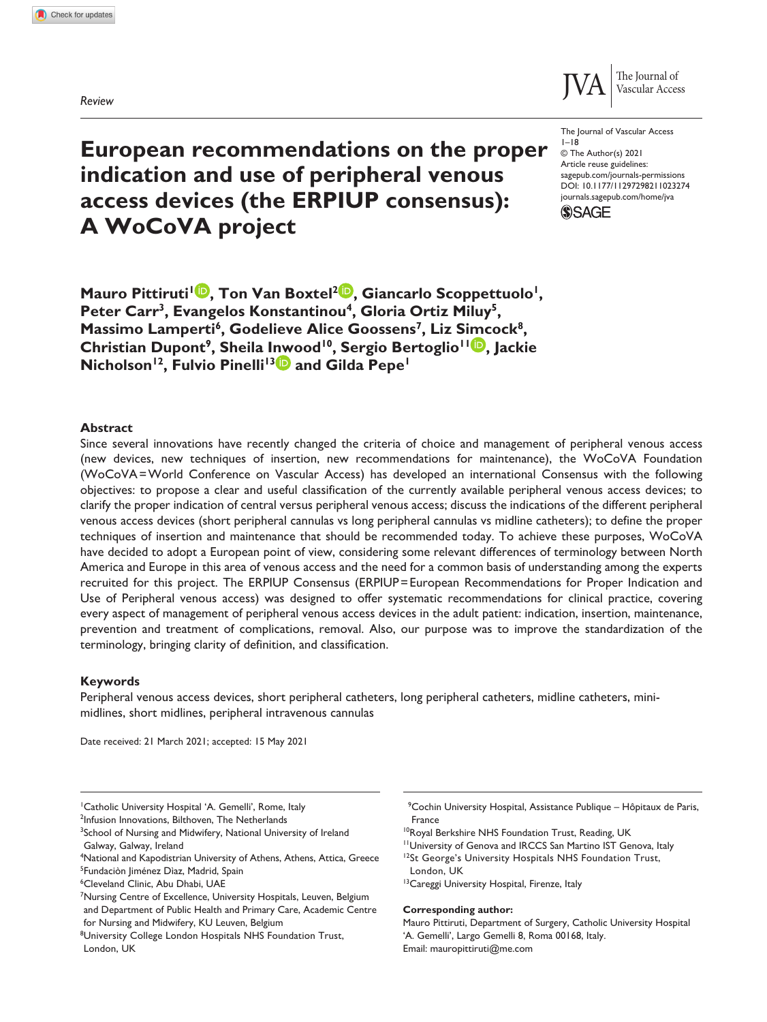*Review*



DOI: 10.1177/11297298211023274 The Journal of Vascular Access  $1 - 18$ © The Author(s) 2021 Article reuse guidelines: [sagepub.com/journals-permissions](https://uk.sagepub.com/en-gb/journals-permissions) [journals.sagepub.com/home/jva](https://journals.sagepub.com/home/jva)



# **European recommendations on the proper indication and use of peripheral venous access devices (the ERPIUP consensus): A WoCoVA project**

**Mauro Pittiruti<sup>1</sup><sup>1</sup>, Ton Van Boxtel<sup>2</sup><sup>D</sup>, Giancarlo Scoppettuolo<sup>1</sup>,** Peter Carr<sup>3</sup>, Evangelos Konstantinou<sup>4</sup>, Gloria Ortiz Miluy<sup>5</sup>, Massimo Lamperti<sup>6</sup>, Godelieve Alice Goossens<sup>7</sup>, Liz Simcock<sup>8</sup>, **Christian Dupont9, Sheila Inwood10, Sergio Bertoglio11 , Jackie Nicholson<sup>12</sup>, Fulvio Pinelli<sup>13</sup> and Gilda Pepe<sup>1</sup>** 

#### **Abstract**

Since several innovations have recently changed the criteria of choice and management of peripheral venous access (new devices, new techniques of insertion, new recommendations for maintenance), the WoCoVA Foundation (WoCoVA=World Conference on Vascular Access) has developed an international Consensus with the following objectives: to propose a clear and useful classification of the currently available peripheral venous access devices; to clarify the proper indication of central versus peripheral venous access; discuss the indications of the different peripheral venous access devices (short peripheral cannulas vs long peripheral cannulas vs midline catheters); to define the proper techniques of insertion and maintenance that should be recommended today. To achieve these purposes, WoCoVA have decided to adopt a European point of view, considering some relevant differences of terminology between North America and Europe in this area of venous access and the need for a common basis of understanding among the experts recruited for this project. The ERPIUP Consensus (ERPIUP=European Recommendations for Proper Indication and Use of Peripheral venous access) was designed to offer systematic recommendations for clinical practice, covering every aspect of management of peripheral venous access devices in the adult patient: indication, insertion, maintenance, prevention and treatment of complications, removal. Also, our purpose was to improve the standardization of the terminology, bringing clarity of definition, and classification.

#### **Keywords**

Peripheral venous access devices, short peripheral catheters, long peripheral catheters, midline catheters, minimidlines, short midlines, peripheral intravenous cannulas

Date received: 21 March 2021; accepted: 15 May 2021

<sup>1</sup> Catholic University Hospital 'A. Gemelli', Rome, Italy

<sup>2</sup>Infusion Innovations, Bilthoven, The Netherlands

6 Cleveland Clinic, Abu Dhabi, UAE

9 Cochin University Hospital, Assistance Publique – Hôpitaux de Paris, France

- 11University of Genova and IRCCS San Martino IST Genova, Italy
- <sup>12</sup>St George's University Hospitals NHS Foundation Trust, London, UK

#### **Corresponding author:**

<sup>&</sup>lt;sup>3</sup>School of Nursing and Midwifery, National University of Ireland Galway, Galway, Ireland

<sup>4</sup> National and Kapodistrian University of Athens, Athens, Attica, Greece 5 Fundaciòn Jiménez Dìaz, Madrid, Spain

<sup>&</sup>lt;sup>7</sup>Nursing Centre of Excellence, University Hospitals, Leuven, Belgium and Department of Public Health and Primary Care, Academic Centre for Nursing and Midwifery, KU Leuven, Belgium

<sup>&</sup>lt;sup>8</sup>University College London Hospitals NHS Foundation Trust, London, UK

<sup>&</sup>lt;sup>10</sup>Royal Berkshire NHS Foundation Trust, Reading, UK

<sup>&</sup>lt;sup>13</sup> Careggi University Hospital, Firenze, Italy

Mauro Pittiruti, Department of Surgery, Catholic University Hospital 'A. Gemelli', Largo Gemelli 8, Roma 00168, Italy. Email: [mauropittiruti@me.com](mailto:mauropittiruti@me.com)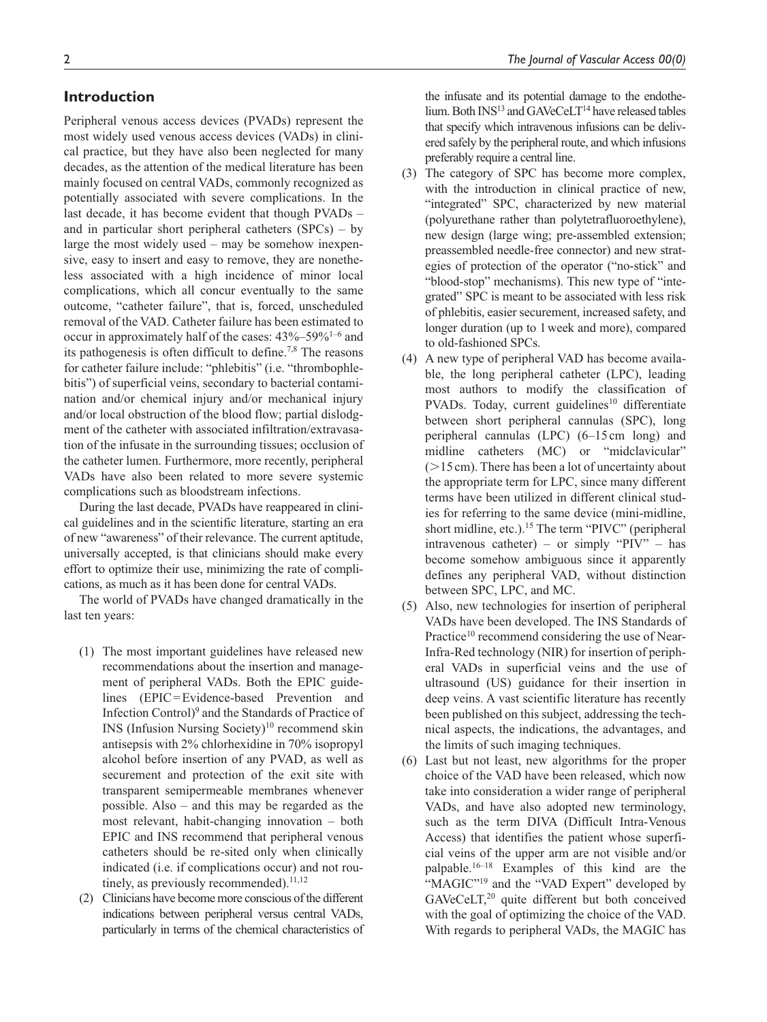# **Introduction**

Peripheral venous access devices (PVADs) represent the most widely used venous access devices (VADs) in clinical practice, but they have also been neglected for many decades, as the attention of the medical literature has been mainly focused on central VADs, commonly recognized as potentially associated with severe complications. In the last decade, it has become evident that though PVADs – and in particular short peripheral catheters (SPCs) – by large the most widely used – may be somehow inexpensive, easy to insert and easy to remove, they are nonetheless associated with a high incidence of minor local complications, which all concur eventually to the same outcome, "catheter failure", that is, forced, unscheduled removal of the VAD. Catheter failure has been estimated to occur in approximately half of the cases: 43%–59%1–6 and its pathogenesis is often difficult to define.<sup>7,8</sup> The reasons for catheter failure include: "phlebitis" (i.e. "thrombophlebitis") of superficial veins, secondary to bacterial contamination and/or chemical injury and/or mechanical injury and/or local obstruction of the blood flow; partial dislodgment of the catheter with associated infiltration/extravasation of the infusate in the surrounding tissues; occlusion of the catheter lumen. Furthermore, more recently, peripheral VADs have also been related to more severe systemic complications such as bloodstream infections.

During the last decade, PVADs have reappeared in clinical guidelines and in the scientific literature, starting an era of new "awareness" of their relevance. The current aptitude, universally accepted, is that clinicians should make every effort to optimize their use, minimizing the rate of complications, as much as it has been done for central VADs.

The world of PVADs have changed dramatically in the last ten years:

- (1) The most important guidelines have released new recommendations about the insertion and management of peripheral VADs. Both the EPIC guidelines (EPIC=Evidence-based Prevention and Infection Control)<sup>9</sup> and the Standards of Practice of  $INS$  (Infusion Nursing Society)<sup>10</sup> recommend skin antisepsis with 2% chlorhexidine in 70% isopropyl alcohol before insertion of any PVAD, as well as securement and protection of the exit site with transparent semipermeable membranes whenever possible. Also – and this may be regarded as the most relevant, habit-changing innovation – both EPIC and INS recommend that peripheral venous catheters should be re-sited only when clinically indicated (i.e. if complications occur) and not routinely, as previously recommended). $11,12$
- (2) Clinicians have become more conscious of the different indications between peripheral versus central VADs, particularly in terms of the chemical characteristics of

the infusate and its potential damage to the endothelium. Both  $INS^{13}$  and  $GAVecCeLT^{14}$  have released tables that specify which intravenous infusions can be delivered safely by the peripheral route, and which infusions preferably require a central line.

- (3) The category of SPC has become more complex, with the introduction in clinical practice of new, "integrated" SPC, characterized by new material (polyurethane rather than polytetrafluoroethylene), new design (large wing; pre-assembled extension; preassembled needle-free connector) and new strategies of protection of the operator ("no-stick" and "blood-stop" mechanisms). This new type of "integrated" SPC is meant to be associated with less risk of phlebitis, easier securement, increased safety, and longer duration (up to 1week and more), compared to old-fashioned SPCs.
- (4) A new type of peripheral VAD has become available, the long peripheral catheter (LPC), leading most authors to modify the classification of PVADs. Today, current guidelines<sup>10</sup> differentiate between short peripheral cannulas (SPC), long peripheral cannulas (LPC) (6–15 cm long) and midline catheters (MC) or "midclavicular"  $(>15 \text{ cm})$ . There has been a lot of uncertainty about the appropriate term for LPC, since many different terms have been utilized in different clinical studies for referring to the same device (mini-midline, short midline, etc.).<sup>15</sup> The term "PIVC" (peripheral intravenous catheter) – or simply "PIV" – has become somehow ambiguous since it apparently defines any peripheral VAD, without distinction between SPC, LPC, and MC.
- (5) Also, new technologies for insertion of peripheral VADs have been developed. The INS Standards of Practice<sup>10</sup> recommend considering the use of Near-Infra-Red technology (NIR) for insertion of peripheral VADs in superficial veins and the use of ultrasound (US) guidance for their insertion in deep veins. A vast scientific literature has recently been published on this subject, addressing the technical aspects, the indications, the advantages, and the limits of such imaging techniques.
- (6) Last but not least, new algorithms for the proper choice of the VAD have been released, which now take into consideration a wider range of peripheral VADs, and have also adopted new terminology, such as the term DIVA (Difficult Intra-Venous Access) that identifies the patient whose superficial veins of the upper arm are not visible and/or palpable.16–18 Examples of this kind are the "MAGIC"<sup>19</sup> and the "VAD Expert" developed by GAVeCeLT,<sup>20</sup> quite different but both conceived with the goal of optimizing the choice of the VAD. With regards to peripheral VADs, the MAGIC has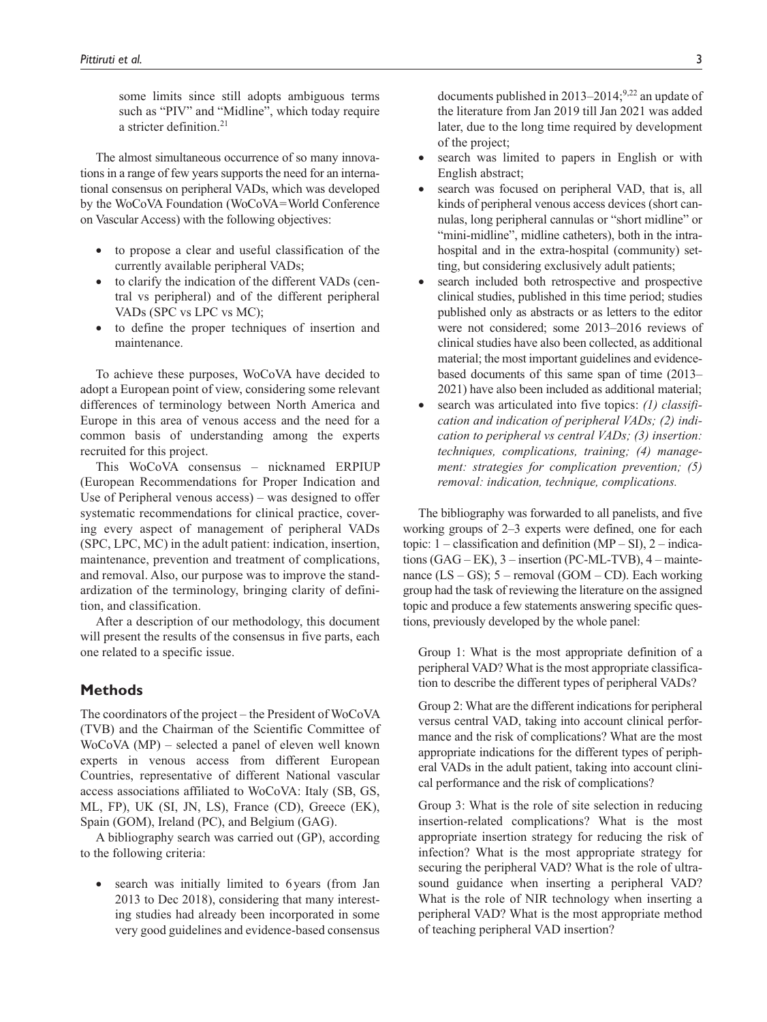some limits since still adopts ambiguous terms such as "PIV" and "Midline", which today require a stricter definition  $21$ 

The almost simultaneous occurrence of so many innovations in a range of few years supports the need for an international consensus on peripheral VADs, which was developed by the WoCoVA Foundation (WoCoVA=World Conference on Vascular Access) with the following objectives:

- to propose a clear and useful classification of the currently available peripheral VADs;
- to clarify the indication of the different VADs (central vs peripheral) and of the different peripheral VADs (SPC vs LPC vs MC);
- to define the proper techniques of insertion and maintenance.

To achieve these purposes, WoCoVA have decided to adopt a European point of view, considering some relevant differences of terminology between North America and Europe in this area of venous access and the need for a common basis of understanding among the experts recruited for this project.

This WoCoVA consensus – nicknamed ERPIUP (European Recommendations for Proper Indication and Use of Peripheral venous access) – was designed to offer systematic recommendations for clinical practice, covering every aspect of management of peripheral VADs (SPC, LPC, MC) in the adult patient: indication, insertion, maintenance, prevention and treatment of complications, and removal. Also, our purpose was to improve the standardization of the terminology, bringing clarity of definition, and classification.

After a description of our methodology, this document will present the results of the consensus in five parts, each one related to a specific issue.

# **Methods**

The coordinators of the project – the President of WoCoVA (TVB) and the Chairman of the Scientific Committee of WoCoVA (MP) – selected a panel of eleven well known experts in venous access from different European Countries, representative of different National vascular access associations affiliated to WoCoVA: Italy (SB, GS, ML, FP), UK (SI, JN, LS), France (CD), Greece (EK), Spain (GOM), Ireland (PC), and Belgium (GAG).

A bibliography search was carried out (GP), according to the following criteria:

search was initially limited to 6 years (from Jan 2013 to Dec 2018), considering that many interesting studies had already been incorporated in some very good guidelines and evidence-based consensus

documents published in  $2013-2014$ ;<sup>9,22</sup> an update of the literature from Jan 2019 till Jan 2021 was added later, due to the long time required by development of the project;

- search was limited to papers in English or with English abstract;
- search was focused on peripheral VAD, that is, all kinds of peripheral venous access devices (short cannulas, long peripheral cannulas or "short midline" or "mini-midline", midline catheters), both in the intrahospital and in the extra-hospital (community) setting, but considering exclusively adult patients;
- search included both retrospective and prospective clinical studies, published in this time period; studies published only as abstracts or as letters to the editor were not considered; some 2013–2016 reviews of clinical studies have also been collected, as additional material; the most important guidelines and evidencebased documents of this same span of time (2013– 2021) have also been included as additional material;
- search was articulated into five topics: *(1) classification and indication of peripheral VADs; (2) indication to peripheral vs central VADs; (3) insertion: techniques, complications, training; (4) management: strategies for complication prevention; (5) removal: indication, technique, complications.*

The bibliography was forwarded to all panelists, and five working groups of 2–3 experts were defined, one for each topic:  $1 -$  classification and definition (MP – SI),  $2 -$  indications (GAG – EK), 3 – insertion (PC-ML-TVB), 4 – maintenance  $(LS - GS)$ ; 5 – removal  $(GOM - CD)$ . Each working group had the task of reviewing the literature on the assigned topic and produce a few statements answering specific questions, previously developed by the whole panel:

Group 1: What is the most appropriate definition of a peripheral VAD? What is the most appropriate classification to describe the different types of peripheral VADs?

Group 2: What are the different indications for peripheral versus central VAD, taking into account clinical performance and the risk of complications? What are the most appropriate indications for the different types of peripheral VADs in the adult patient, taking into account clinical performance and the risk of complications?

Group 3: What is the role of site selection in reducing insertion-related complications? What is the most appropriate insertion strategy for reducing the risk of infection? What is the most appropriate strategy for securing the peripheral VAD? What is the role of ultrasound guidance when inserting a peripheral VAD? What is the role of NIR technology when inserting a peripheral VAD? What is the most appropriate method of teaching peripheral VAD insertion?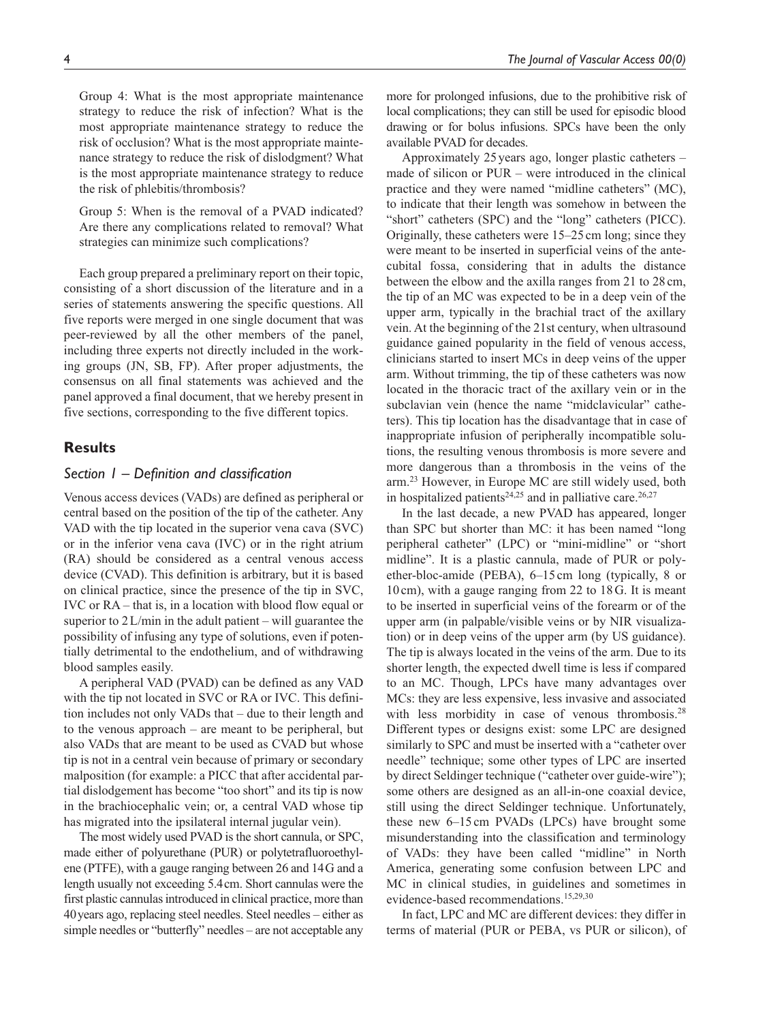Group 4: What is the most appropriate maintenance strategy to reduce the risk of infection? What is the most appropriate maintenance strategy to reduce the risk of occlusion? What is the most appropriate maintenance strategy to reduce the risk of dislodgment? What is the most appropriate maintenance strategy to reduce the risk of phlebitis/thrombosis?

Group 5: When is the removal of a PVAD indicated? Are there any complications related to removal? What strategies can minimize such complications?

Each group prepared a preliminary report on their topic, consisting of a short discussion of the literature and in a series of statements answering the specific questions. All five reports were merged in one single document that was peer-reviewed by all the other members of the panel, including three experts not directly included in the working groups (JN, SB, FP). After proper adjustments, the consensus on all final statements was achieved and the panel approved a final document, that we hereby present in five sections, corresponding to the five different topics.

## **Results**

## *Section 1 – Definition and classification*

Venous access devices (VADs) are defined as peripheral or central based on the position of the tip of the catheter. Any VAD with the tip located in the superior vena cava (SVC) or in the inferior vena cava (IVC) or in the right atrium (RA) should be considered as a central venous access device (CVAD). This definition is arbitrary, but it is based on clinical practice, since the presence of the tip in SVC, IVC or RA – that is, in a location with blood flow equal or superior to  $2$  L/min in the adult patient – will guarantee the possibility of infusing any type of solutions, even if potentially detrimental to the endothelium, and of withdrawing blood samples easily.

A peripheral VAD (PVAD) can be defined as any VAD with the tip not located in SVC or RA or IVC. This definition includes not only VADs that – due to their length and to the venous approach – are meant to be peripheral, but also VADs that are meant to be used as CVAD but whose tip is not in a central vein because of primary or secondary malposition (for example: a PICC that after accidental partial dislodgement has become "too short" and its tip is now in the brachiocephalic vein; or, a central VAD whose tip has migrated into the ipsilateral internal jugular vein).

The most widely used PVAD is the short cannula, or SPC, made either of polyurethane (PUR) or polytetrafluoroethylene (PTFE), with a gauge ranging between 26 and 14G and a length usually not exceeding 5.4cm. Short cannulas were the first plastic cannulas introduced in clinical practice, more than 40years ago, replacing steel needles. Steel needles – either as simple needles or "butterfly" needles – are not acceptable any more for prolonged infusions, due to the prohibitive risk of local complications; they can still be used for episodic blood drawing or for bolus infusions. SPCs have been the only available PVAD for decades.

Approximately 25 years ago, longer plastic catheters – made of silicon or PUR – were introduced in the clinical practice and they were named "midline catheters" (MC), to indicate that their length was somehow in between the "short" catheters (SPC) and the "long" catheters (PICC). Originally, these catheters were 15–25 cm long; since they were meant to be inserted in superficial veins of the antecubital fossa, considering that in adults the distance between the elbow and the axilla ranges from 21 to 28 cm, the tip of an MC was expected to be in a deep vein of the upper arm, typically in the brachial tract of the axillary vein. At the beginning of the 21st century, when ultrasound guidance gained popularity in the field of venous access, clinicians started to insert MCs in deep veins of the upper arm. Without trimming, the tip of these catheters was now located in the thoracic tract of the axillary vein or in the subclavian vein (hence the name "midclavicular" catheters). This tip location has the disadvantage that in case of inappropriate infusion of peripherally incompatible solutions, the resulting venous thrombosis is more severe and more dangerous than a thrombosis in the veins of the arm.23 However, in Europe MC are still widely used, both in hospitalized patients<sup>24,25</sup> and in palliative care.<sup>26,27</sup>

In the last decade, a new PVAD has appeared, longer than SPC but shorter than MC: it has been named "long peripheral catheter" (LPC) or "mini-midline" or "short midline". It is a plastic cannula, made of PUR or polyether-bloc-amide (PEBA), 6–15cm long (typically, 8 or 10cm), with a gauge ranging from 22 to 18G. It is meant to be inserted in superficial veins of the forearm or of the upper arm (in palpable/visible veins or by NIR visualization) or in deep veins of the upper arm (by US guidance). The tip is always located in the veins of the arm. Due to its shorter length, the expected dwell time is less if compared to an MC. Though, LPCs have many advantages over MCs: they are less expensive, less invasive and associated with less morbidity in case of venous thrombosis.<sup>28</sup> Different types or designs exist: some LPC are designed similarly to SPC and must be inserted with a "catheter over needle" technique; some other types of LPC are inserted by direct Seldinger technique ("catheter over guide-wire"); some others are designed as an all-in-one coaxial device, still using the direct Seldinger technique. Unfortunately, these new 6–15 cm PVADs (LPCs) have brought some misunderstanding into the classification and terminology of VADs: they have been called "midline" in North America, generating some confusion between LPC and MC in clinical studies, in guidelines and sometimes in evidence-based recommendations.15,29,30

In fact, LPC and MC are different devices: they differ in terms of material (PUR or PEBA, vs PUR or silicon), of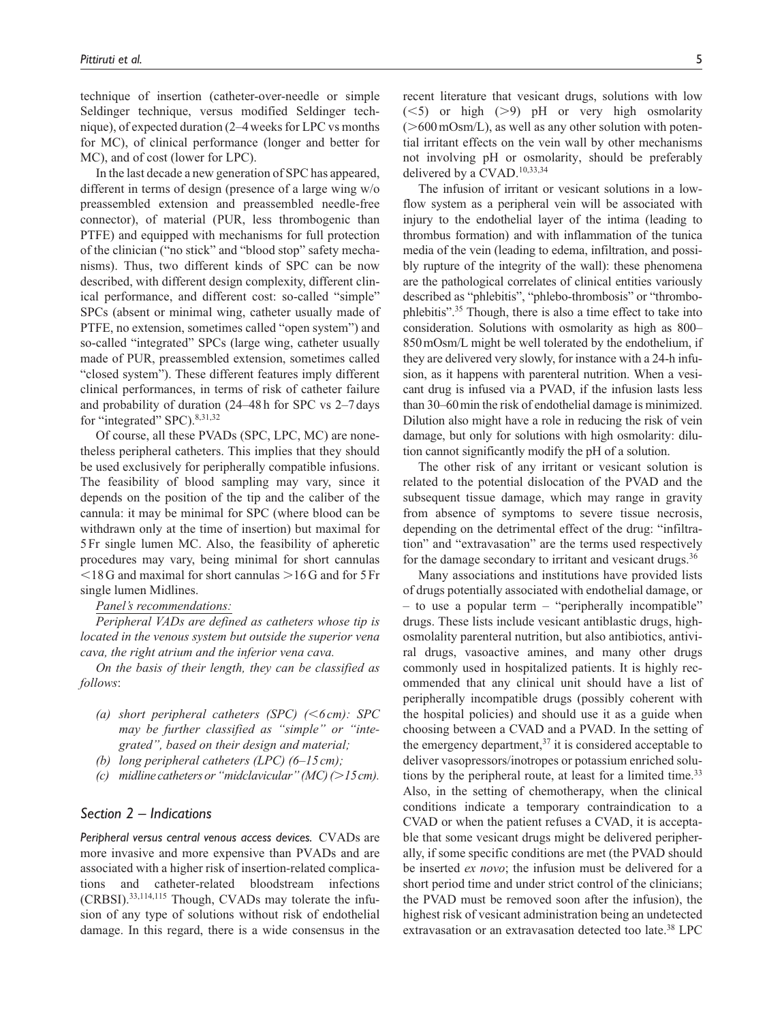technique of insertion (catheter-over-needle or simple Seldinger technique, versus modified Seldinger technique), of expected duration (2–4weeks for LPC vs months for MC), of clinical performance (longer and better for MC), and of cost (lower for LPC).

In the last decade a new generation of SPC has appeared, different in terms of design (presence of a large wing w/o preassembled extension and preassembled needle-free connector), of material (PUR, less thrombogenic than PTFE) and equipped with mechanisms for full protection of the clinician ("no stick" and "blood stop" safety mechanisms). Thus, two different kinds of SPC can be now described, with different design complexity, different clinical performance, and different cost: so-called "simple" SPCs (absent or minimal wing, catheter usually made of PTFE, no extension, sometimes called "open system") and so-called "integrated" SPCs (large wing, catheter usually made of PUR, preassembled extension, sometimes called "closed system"). These different features imply different clinical performances, in terms of risk of catheter failure and probability of duration (24–48h for SPC vs 2–7days for "integrated" SPC). 8,31,32

Of course, all these PVADs (SPC, LPC, MC) are nonetheless peripheral catheters. This implies that they should be used exclusively for peripherally compatible infusions. The feasibility of blood sampling may vary, since it depends on the position of the tip and the caliber of the cannula: it may be minimal for SPC (where blood can be withdrawn only at the time of insertion) but maximal for 5Fr single lumen MC. Also, the feasibility of apheretic procedures may vary, being minimal for short cannulas  $\leq$ 18G and maximal for short cannulas  $\geq$ 16G and for 5Fr single lumen Midlines.

*Panel's recommendations:*

*Peripheral VADs are defined as catheters whose tip is located in the venous system but outside the superior vena cava, the right atrium and the inferior vena cava.*

*On the basis of their length, they can be classified as follows*:

- *(a) short peripheral catheters (SPC) (*<*6cm): SPC may be further classified as "simple" or "integrated", based on their design and material;*
- *(b) long peripheral catheters (LPC) (6–15 cm);*
- *(c) midline catheters or "midclavicular" (MC) (*>*15cm).*

## *Section 2 – Indications*

*Peripheral versus central venous access devices.* CVADs are more invasive and more expensive than PVADs and are associated with a higher risk of insertion-related complications and catheter-related bloodstream infections (CRBSI).33,114,115 Though, CVADs may tolerate the infusion of any type of solutions without risk of endothelial damage. In this regard, there is a wide consensus in the

recent literature that vesicant drugs, solutions with low  $(<5)$  or high  $(>9)$  pH or very high osmolarity  $($ >600 mOsm/L), as well as any other solution with potential irritant effects on the vein wall by other mechanisms not involving pH or osmolarity, should be preferably delivered by a CVAD.<sup>10,33,34</sup>

The infusion of irritant or vesicant solutions in a lowflow system as a peripheral vein will be associated with injury to the endothelial layer of the intima (leading to thrombus formation) and with inflammation of the tunica media of the vein (leading to edema, infiltration, and possibly rupture of the integrity of the wall): these phenomena are the pathological correlates of clinical entities variously described as "phlebitis", "phlebo-thrombosis" or "thrombophlebitis".35 Though, there is also a time effect to take into consideration. Solutions with osmolarity as high as 800– 850mOsm/L might be well tolerated by the endothelium, if they are delivered very slowly, for instance with a 24-h infusion, as it happens with parenteral nutrition. When a vesicant drug is infused via a PVAD, if the infusion lasts less than 30–60min the risk of endothelial damage is minimized. Dilution also might have a role in reducing the risk of vein damage, but only for solutions with high osmolarity: dilution cannot significantly modify the pH of a solution.

The other risk of any irritant or vesicant solution is related to the potential dislocation of the PVAD and the subsequent tissue damage, which may range in gravity from absence of symptoms to severe tissue necrosis, depending on the detrimental effect of the drug: "infiltration" and "extravasation" are the terms used respectively for the damage secondary to irritant and vesicant drugs.<sup>36</sup>

Many associations and institutions have provided lists of drugs potentially associated with endothelial damage, or – to use a popular term – "peripherally incompatible" drugs. These lists include vesicant antiblastic drugs, highosmolality parenteral nutrition, but also antibiotics, antiviral drugs, vasoactive amines, and many other drugs commonly used in hospitalized patients. It is highly recommended that any clinical unit should have a list of peripherally incompatible drugs (possibly coherent with the hospital policies) and should use it as a guide when choosing between a CVAD and a PVAD. In the setting of the emergency department, $37$  it is considered acceptable to deliver vasopressors/inotropes or potassium enriched solutions by the peripheral route, at least for a limited time. $33$ Also, in the setting of chemotherapy, when the clinical conditions indicate a temporary contraindication to a CVAD or when the patient refuses a CVAD, it is acceptable that some vesicant drugs might be delivered peripherally, if some specific conditions are met (the PVAD should be inserted *ex novo*; the infusion must be delivered for a short period time and under strict control of the clinicians; the PVAD must be removed soon after the infusion), the highest risk of vesicant administration being an undetected extravasation or an extravasation detected too late.<sup>38</sup> LPC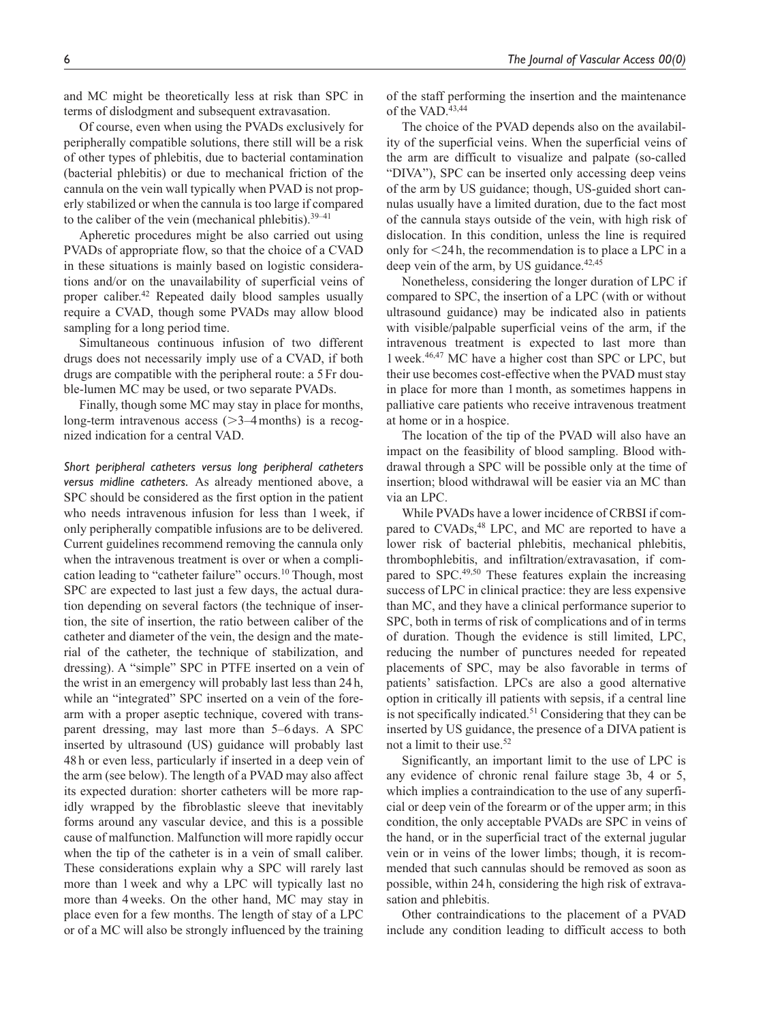and MC might be theoretically less at risk than SPC in terms of dislodgment and subsequent extravasation.

Of course, even when using the PVADs exclusively for peripherally compatible solutions, there still will be a risk of other types of phlebitis, due to bacterial contamination (bacterial phlebitis) or due to mechanical friction of the cannula on the vein wall typically when PVAD is not properly stabilized or when the cannula is too large if compared to the caliber of the vein (mechanical phlebitis). $39-41$ 

Apheretic procedures might be also carried out using PVADs of appropriate flow, so that the choice of a CVAD in these situations is mainly based on logistic considerations and/or on the unavailability of superficial veins of proper caliber.42 Repeated daily blood samples usually require a CVAD, though some PVADs may allow blood sampling for a long period time.

Simultaneous continuous infusion of two different drugs does not necessarily imply use of a CVAD, if both drugs are compatible with the peripheral route: a 5Fr double-lumen MC may be used, or two separate PVADs.

Finally, though some MC may stay in place for months, long-term intravenous access  $(>=3-4$  months) is a recognized indication for a central VAD.

*Short peripheral catheters versus long peripheral catheters versus midline catheters.* As already mentioned above, a SPC should be considered as the first option in the patient who needs intravenous infusion for less than 1week, if only peripherally compatible infusions are to be delivered. Current guidelines recommend removing the cannula only when the intravenous treatment is over or when a complication leading to "catheter failure" occurs.<sup>10</sup> Though, most SPC are expected to last just a few days, the actual duration depending on several factors (the technique of insertion, the site of insertion, the ratio between caliber of the catheter and diameter of the vein, the design and the material of the catheter, the technique of stabilization, and dressing). A "simple" SPC in PTFE inserted on a vein of the wrist in an emergency will probably last less than 24 h, while an "integrated" SPC inserted on a vein of the forearm with a proper aseptic technique, covered with transparent dressing, may last more than 5–6 days. A SPC inserted by ultrasound (US) guidance will probably last 48 h or even less, particularly if inserted in a deep vein of the arm (see below). The length of a PVAD may also affect its expected duration: shorter catheters will be more rapidly wrapped by the fibroblastic sleeve that inevitably forms around any vascular device, and this is a possible cause of malfunction. Malfunction will more rapidly occur when the tip of the catheter is in a vein of small caliber. These considerations explain why a SPC will rarely last more than 1week and why a LPC will typically last no more than 4weeks. On the other hand, MC may stay in place even for a few months. The length of stay of a LPC or of a MC will also be strongly influenced by the training

of the staff performing the insertion and the maintenance of the VAD.<sup>43,44</sup>

The choice of the PVAD depends also on the availability of the superficial veins. When the superficial veins of the arm are difficult to visualize and palpate (so-called "DIVA"), SPC can be inserted only accessing deep veins of the arm by US guidance; though, US-guided short cannulas usually have a limited duration, due to the fact most of the cannula stays outside of the vein, with high risk of dislocation. In this condition, unless the line is required only for <24h, the recommendation is to place a LPC in a deep vein of the arm, by US guidance. $42,45$ 

Nonetheless, considering the longer duration of LPC if compared to SPC, the insertion of a LPC (with or without ultrasound guidance) may be indicated also in patients with visible/palpable superficial veins of the arm, if the intravenous treatment is expected to last more than 1week.46,47 MC have a higher cost than SPC or LPC, but their use becomes cost-effective when the PVAD must stay in place for more than 1month, as sometimes happens in palliative care patients who receive intravenous treatment at home or in a hospice.

The location of the tip of the PVAD will also have an impact on the feasibility of blood sampling. Blood withdrawal through a SPC will be possible only at the time of insertion; blood withdrawal will be easier via an MC than via an LPC.

While PVADs have a lower incidence of CRBSI if compared to CVADs,<sup>48</sup> LPC, and MC are reported to have a lower risk of bacterial phlebitis, mechanical phlebitis, thrombophlebitis, and infiltration/extravasation, if compared to SPC.<sup>49,50</sup> These features explain the increasing success of LPC in clinical practice: they are less expensive than MC, and they have a clinical performance superior to SPC, both in terms of risk of complications and of in terms of duration. Though the evidence is still limited, LPC, reducing the number of punctures needed for repeated placements of SPC, may be also favorable in terms of patients' satisfaction. LPCs are also a good alternative option in critically ill patients with sepsis, if a central line is not specifically indicated.<sup>51</sup> Considering that they can be inserted by US guidance, the presence of a DIVA patient is not a limit to their use.52

Significantly, an important limit to the use of LPC is any evidence of chronic renal failure stage 3b, 4 or 5, which implies a contraindication to the use of any superficial or deep vein of the forearm or of the upper arm; in this condition, the only acceptable PVADs are SPC in veins of the hand, or in the superficial tract of the external jugular vein or in veins of the lower limbs; though, it is recommended that such cannulas should be removed as soon as possible, within 24h, considering the high risk of extravasation and phlebitis.

Other contraindications to the placement of a PVAD include any condition leading to difficult access to both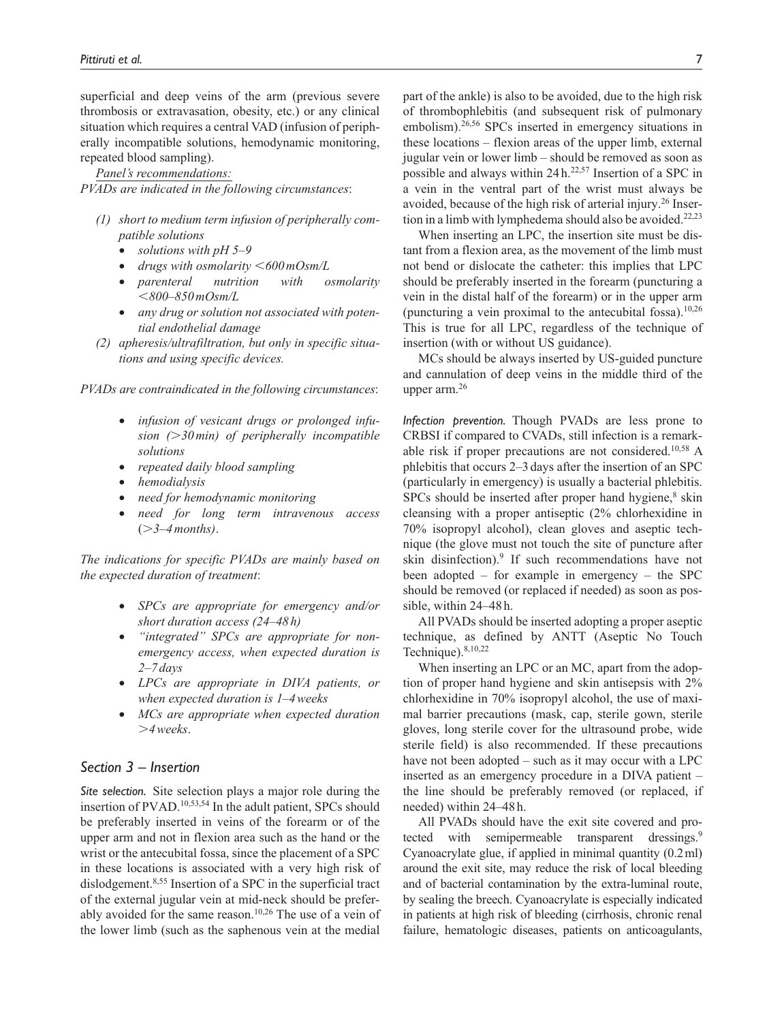superficial and deep veins of the arm (previous severe thrombosis or extravasation, obesity, etc.) or any clinical situation which requires a central VAD (infusion of peripherally incompatible solutions, hemodynamic monitoring, repeated blood sampling).

*Panel's recommendations: PVADs are indicated in the following circumstances*:

- *(1) short to medium term infusion of peripherally compatible solutions*
	- *solutions with pH 5–9*
	- *drugs with osmolarity* <*600mOsm/L*
	- *parenteral nutrition with osmolarity* <*800–850mOsm/L*
	- *any drug or solution not associated with potential endothelial damage*
- *(2) apheresis/ultrafiltration, but only in specific situations and using specific devices.*

*PVADs are contraindicated in the following circumstances*:

- *infusion of vesicant drugs or prolonged infusion (*>*30min) of peripherally incompatible solutions*
- *repeated daily blood sampling*
- *hemodialysis*
- *need for hemodynamic monitoring*
- *need for long term intravenous access*  (>*3–4months)*.

*The indications for specific PVADs are mainly based on the expected duration of treatment*:

- *SPCs are appropriate for emergency and/or short duration access (24–48h)*
- *"integrated" SPCs are appropriate for nonemergency access, when expected duration is 2–7 days*
- *LPCs are appropriate in DIVA patients, or when expected duration is 1–4weeks*
- *MCs are appropriate when expected duration*  >*4weeks*.

## *Section 3 – Insertion*

*Site selection.* Site selection plays a major role during the insertion of PVAD.10,53,54 In the adult patient, SPCs should be preferably inserted in veins of the forearm or of the upper arm and not in flexion area such as the hand or the wrist or the antecubital fossa, since the placement of a SPC in these locations is associated with a very high risk of dislodgement.<sup>8,55</sup> Insertion of a SPC in the superficial tract of the external jugular vein at mid-neck should be preferably avoided for the same reason.10,26 The use of a vein of the lower limb (such as the saphenous vein at the medial

part of the ankle) is also to be avoided, due to the high risk of thrombophlebitis (and subsequent risk of pulmonary embolism).<sup>26,56</sup> SPCs inserted in emergency situations in these locations – flexion areas of the upper limb, external jugular vein or lower limb – should be removed as soon as possible and always within  $24 h<sup>22,57</sup>$  Insertion of a SPC in a vein in the ventral part of the wrist must always be avoided, because of the high risk of arterial injury.<sup>26</sup> Insertion in a limb with lymphedema should also be avoided.<sup>22,23</sup>

When inserting an LPC, the insertion site must be distant from a flexion area, as the movement of the limb must not bend or dislocate the catheter: this implies that LPC should be preferably inserted in the forearm (puncturing a vein in the distal half of the forearm) or in the upper arm (puncturing a vein proximal to the antecubital fossa). $10,26$ This is true for all LPC, regardless of the technique of insertion (with or without US guidance).

MCs should be always inserted by US-guided puncture and cannulation of deep veins in the middle third of the upper arm.26

*Infection prevention.* Though PVADs are less prone to CRBSI if compared to CVADs, still infection is a remarkable risk if proper precautions are not considered.10,58 A phlebitis that occurs 2–3 days after the insertion of an SPC (particularly in emergency) is usually a bacterial phlebitis.  $SPCs$  should be inserted after proper hand hygiene, $8$  skin cleansing with a proper antiseptic (2% chlorhexidine in 70% isopropyl alcohol), clean gloves and aseptic technique (the glove must not touch the site of puncture after skin disinfection).<sup>9</sup> If such recommendations have not been adopted – for example in emergency – the SPC should be removed (or replaced if needed) as soon as possible, within 24–48h.

All PVADs should be inserted adopting a proper aseptic technique, as defined by ANTT (Aseptic No Touch Technique).<sup>8,10,22</sup>

When inserting an LPC or an MC, apart from the adoption of proper hand hygiene and skin antisepsis with 2% chlorhexidine in 70% isopropyl alcohol, the use of maximal barrier precautions (mask, cap, sterile gown, sterile gloves, long sterile cover for the ultrasound probe, wide sterile field) is also recommended. If these precautions have not been adopted – such as it may occur with a LPC inserted as an emergency procedure in a DIVA patient – the line should be preferably removed (or replaced, if needed) within 24–48h.

All PVADs should have the exit site covered and protected with semipermeable transparent dressings.<sup>9</sup> Cyanoacrylate glue, if applied in minimal quantity (0.2ml) around the exit site, may reduce the risk of local bleeding and of bacterial contamination by the extra-luminal route, by sealing the breech. Cyanoacrylate is especially indicated in patients at high risk of bleeding (cirrhosis, chronic renal failure, hematologic diseases, patients on anticoagulants,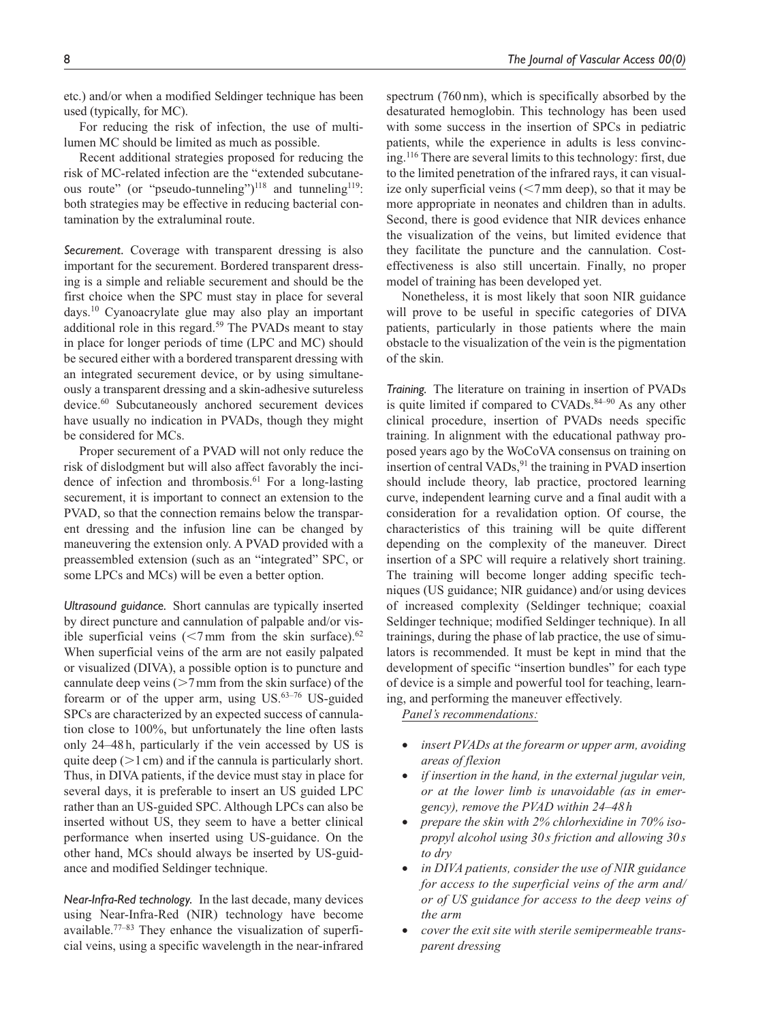etc.) and/or when a modified Seldinger technique has been used (typically, for MC).

For reducing the risk of infection, the use of multilumen MC should be limited as much as possible.

Recent additional strategies proposed for reducing the risk of MC-related infection are the "extended subcutaneous route" (or "pseudo-tunneling")<sup>118</sup> and tunneling<sup>119</sup>: both strategies may be effective in reducing bacterial contamination by the extraluminal route.

*Securement.* Coverage with transparent dressing is also important for the securement. Bordered transparent dressing is a simple and reliable securement and should be the first choice when the SPC must stay in place for several days.10 Cyanoacrylate glue may also play an important additional role in this regard.<sup>59</sup> The PVADs meant to stay in place for longer periods of time (LPC and MC) should be secured either with a bordered transparent dressing with an integrated securement device, or by using simultaneously a transparent dressing and a skin-adhesive sutureless device.<sup>60</sup> Subcutaneously anchored securement devices have usually no indication in PVADs, though they might be considered for MCs.

Proper securement of a PVAD will not only reduce the risk of dislodgment but will also affect favorably the incidence of infection and thrombosis.<sup>61</sup> For a long-lasting securement, it is important to connect an extension to the PVAD, so that the connection remains below the transparent dressing and the infusion line can be changed by maneuvering the extension only. A PVAD provided with a preassembled extension (such as an "integrated" SPC, or some LPCs and MCs) will be even a better option.

*Ultrasound guidance.* Short cannulas are typically inserted by direct puncture and cannulation of palpable and/or visible superficial veins  $\left( \langle 7 \rangle$  mm from the skin surface).<sup>62</sup> When superficial veins of the arm are not easily palpated or visualized (DIVA), a possible option is to puncture and cannulate deep veins  $(>=7$ mm from the skin surface) of the forearm or of the upper arm, using  $US^{63-76}$  US-guided SPCs are characterized by an expected success of cannulation close to 100%, but unfortunately the line often lasts only 24–48h, particularly if the vein accessed by US is quite deep  $(>1 \text{ cm})$  and if the cannula is particularly short. Thus, in DIVA patients, if the device must stay in place for several days, it is preferable to insert an US guided LPC rather than an US-guided SPC. Although LPCs can also be inserted without US, they seem to have a better clinical performance when inserted using US-guidance. On the other hand, MCs should always be inserted by US-guidance and modified Seldinger technique.

*Near-Infra-Red technology.* In the last decade, many devices using Near-Infra-Red (NIR) technology have become available.<sup>77–83</sup> They enhance the visualization of superficial veins, using a specific wavelength in the near-infrared spectrum (760nm), which is specifically absorbed by the desaturated hemoglobin. This technology has been used with some success in the insertion of SPCs in pediatric patients, while the experience in adults is less convincing.116 There are several limits to this technology: first, due to the limited penetration of the infrared rays, it can visualize only superficial veins  $(< 7 \text{ mm}$  deep), so that it may be more appropriate in neonates and children than in adults. Second, there is good evidence that NIR devices enhance the visualization of the veins, but limited evidence that they facilitate the puncture and the cannulation. Costeffectiveness is also still uncertain. Finally, no proper model of training has been developed yet.

Nonetheless, it is most likely that soon NIR guidance will prove to be useful in specific categories of DIVA patients, particularly in those patients where the main obstacle to the visualization of the vein is the pigmentation of the skin.

*Training.* The literature on training in insertion of PVADs is quite limited if compared to CVADs.<sup>84-90</sup> As any other clinical procedure, insertion of PVADs needs specific training. In alignment with the educational pathway proposed years ago by the WoCoVA consensus on training on insertion of central VADs, $91$  the training in PVAD insertion should include theory, lab practice, proctored learning curve, independent learning curve and a final audit with a consideration for a revalidation option. Of course, the characteristics of this training will be quite different depending on the complexity of the maneuver. Direct insertion of a SPC will require a relatively short training. The training will become longer adding specific techniques (US guidance; NIR guidance) and/or using devices of increased complexity (Seldinger technique; coaxial Seldinger technique; modified Seldinger technique). In all trainings, during the phase of lab practice, the use of simulators is recommended. It must be kept in mind that the development of specific "insertion bundles" for each type of device is a simple and powerful tool for teaching, learning, and performing the maneuver effectively.

*Panel's recommendations:*

- *insert PVADs at the forearm or upper arm, avoiding areas of flexion*
- *if insertion in the hand, in the external jugular vein, or at the lower limb is unavoidable (as in emergency), remove the PVAD within 24–48 h*
- *prepare the skin with 2% chlorhexidine in 70% isopropyl alcohol using 30 s friction and allowing 30 s to dry*
- *in DIVA patients, consider the use of NIR guidance for access to the superficial veins of the arm and/ or of US guidance for access to the deep veins of the arm*
- *cover the exit site with sterile semipermeable transparent dressing*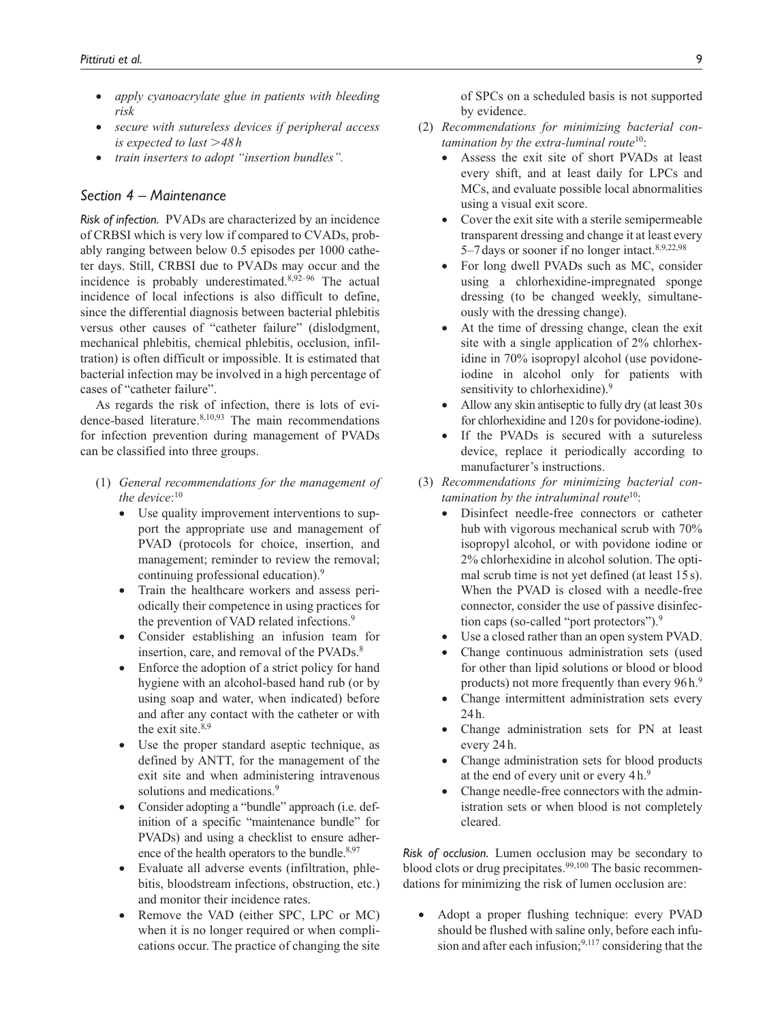- *apply cyanoacrylate glue in patients with bleeding risk*
- *secure with sutureless devices if peripheral access is expected to last* >*48h*
- *train inserters to adopt "insertion bundles".*

## *Section 4 – Maintenance*

*Risk of infection.* PVADs are characterized by an incidence of CRBSI which is very low if compared to CVADs, probably ranging between below 0.5 episodes per 1000 catheter days. Still, CRBSI due to PVADs may occur and the incidence is probably underestimated. $8,92-96$  The actual incidence of local infections is also difficult to define, since the differential diagnosis between bacterial phlebitis versus other causes of "catheter failure" (dislodgment, mechanical phlebitis, chemical phlebitis, occlusion, infiltration) is often difficult or impossible. It is estimated that bacterial infection may be involved in a high percentage of cases of "catheter failure".

As regards the risk of infection, there is lots of evidence-based literature.<sup>8,10,93</sup> The main recommendations for infection prevention during management of PVADs can be classified into three groups.

- (1) *General recommendations for the management of the device*: 10
	- Use quality improvement interventions to support the appropriate use and management of PVAD (protocols for choice, insertion, and management; reminder to review the removal; continuing professional education).<sup>9</sup>
	- Train the healthcare workers and assess periodically their competence in using practices for the prevention of VAD related infections.<sup>9</sup>
	- Consider establishing an infusion team for insertion, care, and removal of the PVADs.<sup>8</sup>
	- Enforce the adoption of a strict policy for hand hygiene with an alcohol-based hand rub (or by using soap and water, when indicated) before and after any contact with the catheter or with the exit site. $8,9$
	- Use the proper standard aseptic technique, as defined by ANTT, for the management of the exit site and when administering intravenous solutions and medications.<sup>9</sup>
	- Consider adopting a "bundle" approach (i.e. definition of a specific "maintenance bundle" for PVADs) and using a checklist to ensure adherence of the health operators to the bundle.<sup>8,97</sup>
	- Evaluate all adverse events (infiltration, phlebitis, bloodstream infections, obstruction, etc.) and monitor their incidence rates.
	- Remove the VAD (either SPC, LPC or MC) when it is no longer required or when complications occur. The practice of changing the site

of SPCs on a scheduled basis is not supported by evidence.

- (2) *Recommendations for minimizing bacterial contamination by the extra-luminal route*10:
	- Assess the exit site of short PVADs at least every shift, and at least daily for LPCs and MCs, and evaluate possible local abnormalities using a visual exit score.
	- Cover the exit site with a sterile semipermeable transparent dressing and change it at least every 5–7days or sooner if no longer intact.8,9,22,98
	- For long dwell PVADs such as MC, consider using a chlorhexidine-impregnated sponge dressing (to be changed weekly, simultaneously with the dressing change).
	- At the time of dressing change, clean the exit site with a single application of 2% chlorhexidine in 70% isopropyl alcohol (use povidoneiodine in alcohol only for patients with sensitivity to chlorhexidine).<sup>9</sup>
	- Allow any skin antiseptic to fully dry (at least 30s for chlorhexidine and 120s for povidone-iodine).
	- If the PVADs is secured with a sutureless device, replace it periodically according to manufacturer's instructions.
- (3) *Recommendations for minimizing bacterial contamination by the intraluminal route*10:
	- Disinfect needle-free connectors or catheter hub with vigorous mechanical scrub with 70% isopropyl alcohol, or with povidone iodine or 2% chlorhexidine in alcohol solution. The optimal scrub time is not yet defined (at least 15 s). When the PVAD is closed with a needle-free connector, consider the use of passive disinfection caps (so-called "port protectors").9
	- Use a closed rather than an open system PVAD.
	- Change continuous administration sets (used for other than lipid solutions or blood or blood products) not more frequently than every 96h.<sup>9</sup>
	- Change intermittent administration sets every 24h.
	- Change administration sets for PN at least every 24 h.
	- Change administration sets for blood products at the end of every unit or every 4 h.<sup>9</sup>
	- Change needle-free connectors with the administration sets or when blood is not completely cleared.

*Risk of occlusion.* Lumen occlusion may be secondary to blood clots or drug precipitates.<sup>99,100</sup> The basic recommendations for minimizing the risk of lumen occlusion are:

• Adopt a proper flushing technique: every PVAD should be flushed with saline only, before each infusion and after each infusion; $9,117$  considering that the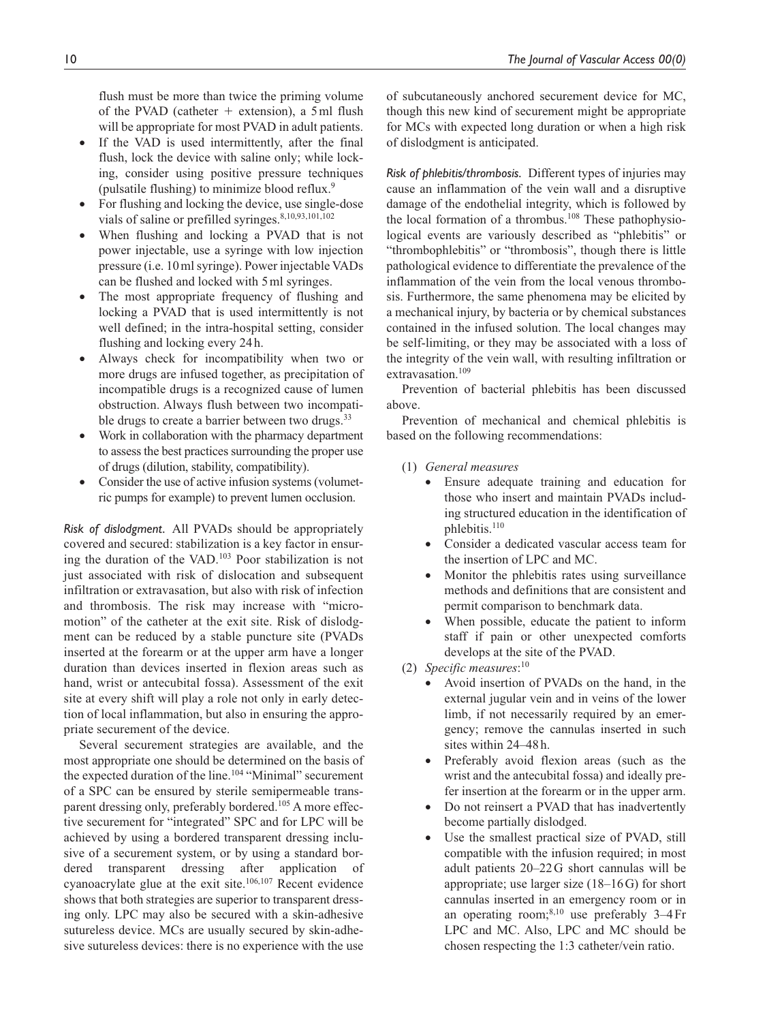flush must be more than twice the priming volume of the PVAD (catheter  $+$  extension), a 5ml flush will be appropriate for most PVAD in adult patients.

- If the VAD is used intermittently, after the final flush, lock the device with saline only; while locking, consider using positive pressure techniques (pulsatile flushing) to minimize blood reflux.9
- For flushing and locking the device, use single-dose vials of saline or prefilled syringes.<sup>8,10,93,101,102</sup>
- When flushing and locking a PVAD that is not power injectable, use a syringe with low injection pressure (i.e. 10ml syringe). Power injectable VADs can be flushed and locked with 5ml syringes.
- The most appropriate frequency of flushing and locking a PVAD that is used intermittently is not well defined; in the intra-hospital setting, consider flushing and locking every 24h.
- Always check for incompatibility when two or more drugs are infused together, as precipitation of incompatible drugs is a recognized cause of lumen obstruction. Always flush between two incompatible drugs to create a barrier between two drugs.<sup>33</sup>
- Work in collaboration with the pharmacy department to assess the best practices surrounding the proper use of drugs (dilution, stability, compatibility).
- Consider the use of active infusion systems (volumetric pumps for example) to prevent lumen occlusion.

*Risk of dislodgment.* All PVADs should be appropriately covered and secured: stabilization is a key factor in ensuring the duration of the VAD.103 Poor stabilization is not just associated with risk of dislocation and subsequent infiltration or extravasation, but also with risk of infection and thrombosis. The risk may increase with "micromotion" of the catheter at the exit site. Risk of dislodgment can be reduced by a stable puncture site (PVADs inserted at the forearm or at the upper arm have a longer duration than devices inserted in flexion areas such as hand, wrist or antecubital fossa). Assessment of the exit site at every shift will play a role not only in early detection of local inflammation, but also in ensuring the appropriate securement of the device.

Several securement strategies are available, and the most appropriate one should be determined on the basis of the expected duration of the line.<sup>104</sup> "Minimal" securement of a SPC can be ensured by sterile semipermeable transparent dressing only, preferably bordered.<sup>105</sup> A more effective securement for "integrated" SPC and for LPC will be achieved by using a bordered transparent dressing inclusive of a securement system, or by using a standard bordered transparent dressing after application of cyanoacrylate glue at the exit site.106,107 Recent evidence shows that both strategies are superior to transparent dressing only. LPC may also be secured with a skin-adhesive sutureless device. MCs are usually secured by skin-adhesive sutureless devices: there is no experience with the use

of subcutaneously anchored securement device for MC, though this new kind of securement might be appropriate for MCs with expected long duration or when a high risk of dislodgment is anticipated.

*Risk of phlebitis/thrombosis.* Different types of injuries may cause an inflammation of the vein wall and a disruptive damage of the endothelial integrity, which is followed by the local formation of a thrombus.<sup>108</sup> These pathophysiological events are variously described as "phlebitis" or "thrombophlebitis" or "thrombosis", though there is little pathological evidence to differentiate the prevalence of the inflammation of the vein from the local venous thrombosis. Furthermore, the same phenomena may be elicited by a mechanical injury, by bacteria or by chemical substances contained in the infused solution. The local changes may be self-limiting, or they may be associated with a loss of the integrity of the vein wall, with resulting infiltration or extravasation.<sup>109</sup>

Prevention of bacterial phlebitis has been discussed above.

Prevention of mechanical and chemical phlebitis is based on the following recommendations:

- (1) *General measures*
	- Ensure adequate training and education for those who insert and maintain PVADs including structured education in the identification of phlebitis.<sup>110</sup>
	- Consider a dedicated vascular access team for the insertion of LPC and MC.
	- Monitor the phlebitis rates using surveillance methods and definitions that are consistent and permit comparison to benchmark data.
	- When possible, educate the patient to inform staff if pain or other unexpected comforts develops at the site of the PVAD.
- (2) *Specific measures*: 10
	- Avoid insertion of PVADs on the hand, in the external jugular vein and in veins of the lower limb, if not necessarily required by an emergency; remove the cannulas inserted in such sites within 24–48h.
	- Preferably avoid flexion areas (such as the wrist and the antecubital fossa) and ideally prefer insertion at the forearm or in the upper arm.
	- Do not reinsert a PVAD that has inadvertently become partially dislodged.
	- Use the smallest practical size of PVAD, still compatible with the infusion required; in most adult patients 20–22G short cannulas will be appropriate; use larger size (18–16G) for short cannulas inserted in an emergency room or in an operating room;<sup>8,10</sup> use preferably  $3-4$  Fr LPC and MC. Also, LPC and MC should be chosen respecting the 1:3 catheter/vein ratio.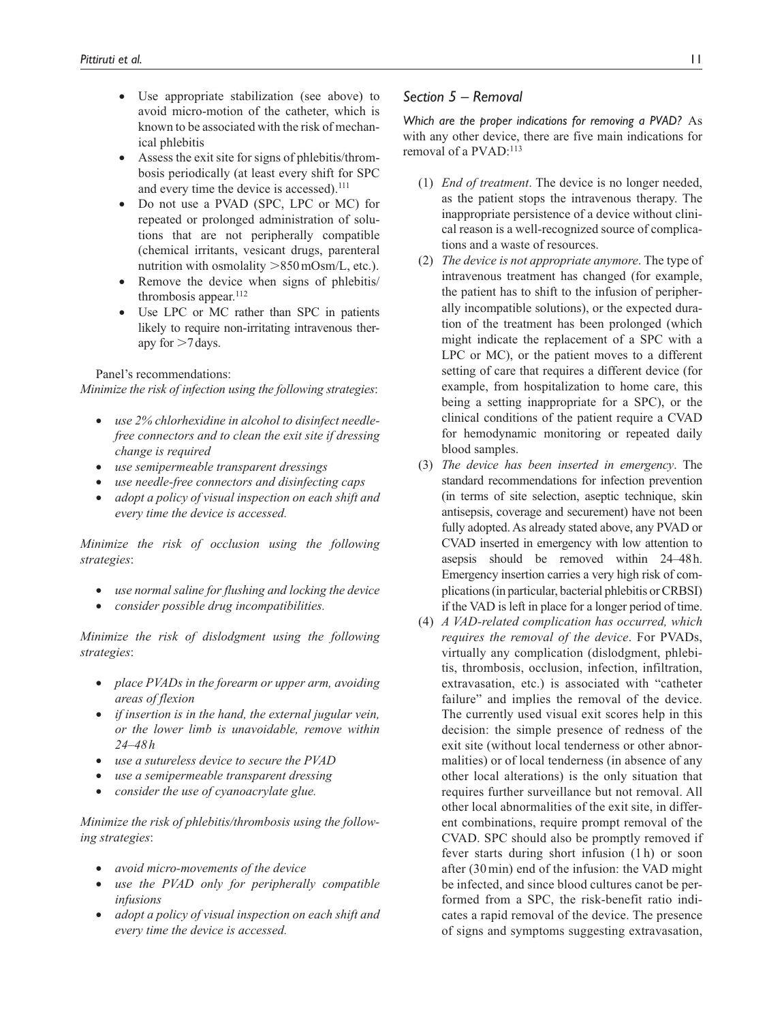- Use appropriate stabilization (see above) to avoid micro-motion of the catheter, which is known to be associated with the risk of mechanical phlebitis
- Assess the exit site for signs of phlebitis/thrombosis periodically (at least every shift for SPC and every time the device is accessed).<sup>111</sup>
- Do not use a PVAD (SPC, LPC or MC) for repeated or prolonged administration of solutions that are not peripherally compatible (chemical irritants, vesicant drugs, parenteral nutrition with osmolality >850mOsm/L, etc.).
- Remove the device when signs of phlebitis/ thrombosis appear.<sup>112</sup>
- Use LPC or MC rather than SPC in patients likely to require non-irritating intravenous therapy for  $>7$  days.

Panel's recommendations:

*Minimize the risk of infection using the following strategies*:

- *use 2% chlorhexidine in alcohol to disinfect needlefree connectors and to clean the exit site if dressing change is required*
- *use semipermeable transparent dressings*
- *use needle-free connectors and disinfecting caps*
- *adopt a policy of visual inspection on each shift and every time the device is accessed.*

*Minimize the risk of occlusion using the following strategies*:

- *use normal saline for flushing and locking the device*
- *consider possible drug incompatibilities.*

*Minimize the risk of dislodgment using the following strategies*:

- *place PVADs in the forearm or upper arm, avoiding areas of flexion*
- *if insertion is in the hand, the external jugular vein, or the lower limb is unavoidable, remove within 24–48h*
- *use a sutureless device to secure the PVAD*
- *use a semipermeable transparent dressing*
- *consider the use of cyanoacrylate glue.*

*Minimize the risk of phlebitis/thrombosis using the following strategies*:

- *avoid micro-movements of the device*
- *use the PVAD only for peripherally compatible infusions*
- *adopt a policy of visual inspection on each shift and every time the device is accessed.*

## *Section 5 – Removal*

*Which are the proper indications for removing a PVAD?* As with any other device, there are five main indications for removal of a PVAD:<sup>113</sup>

- (1) *End of treatment*. The device is no longer needed, as the patient stops the intravenous therapy. The inappropriate persistence of a device without clinical reason is a well-recognized source of complications and a waste of resources.
- (2) *The device is not appropriate anymore*. The type of intravenous treatment has changed (for example, the patient has to shift to the infusion of peripherally incompatible solutions), or the expected duration of the treatment has been prolonged (which might indicate the replacement of a SPC with a LPC or MC), or the patient moves to a different setting of care that requires a different device (for example, from hospitalization to home care, this being a setting inappropriate for a SPC), or the clinical conditions of the patient require a CVAD for hemodynamic monitoring or repeated daily blood samples.
- (3) *The device has been inserted in emergency*. The standard recommendations for infection prevention (in terms of site selection, aseptic technique, skin antisepsis, coverage and securement) have not been fully adopted. As already stated above, any PVAD or CVAD inserted in emergency with low attention to asepsis should be removed within 24–48h. Emergency insertion carries a very high risk of complications (in particular, bacterial phlebitis or CRBSI) if the VAD is left in place for a longer period of time.
- (4) *A VAD-related complication has occurred, which requires the removal of the device*. For PVADs, virtually any complication (dislodgment, phlebitis, thrombosis, occlusion, infection, infiltration, extravasation, etc.) is associated with "catheter failure" and implies the removal of the device. The currently used visual exit scores help in this decision: the simple presence of redness of the exit site (without local tenderness or other abnormalities) or of local tenderness (in absence of any other local alterations) is the only situation that requires further surveillance but not removal. All other local abnormalities of the exit site, in different combinations, require prompt removal of the CVAD. SPC should also be promptly removed if fever starts during short infusion (1 h) or soon after (30min) end of the infusion: the VAD might be infected, and since blood cultures canot be performed from a SPC, the risk-benefit ratio indicates a rapid removal of the device. The presence of signs and symptoms suggesting extravasation,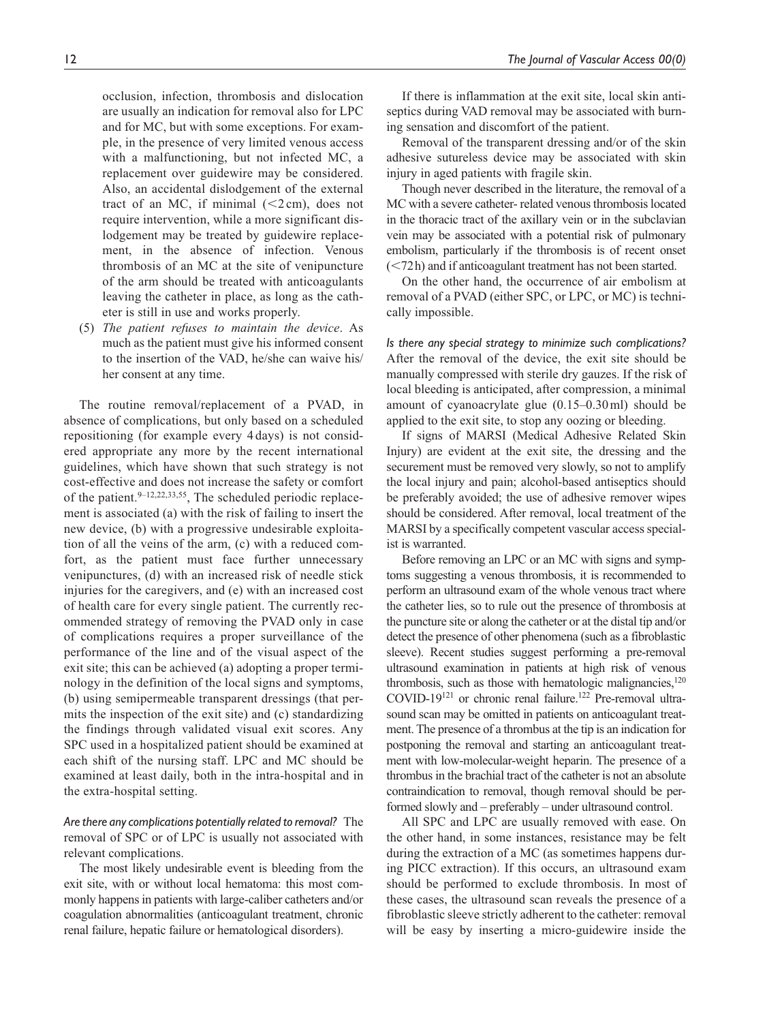occlusion, infection, thrombosis and dislocation are usually an indication for removal also for LPC and for MC, but with some exceptions. For example, in the presence of very limited venous access with a malfunctioning, but not infected MC, a replacement over guidewire may be considered. Also, an accidental dislodgement of the external tract of an MC, if minimal  $(<2 \text{ cm})$ , does not require intervention, while a more significant dislodgement may be treated by guidewire replacement, in the absence of infection. Venous thrombosis of an MC at the site of venipuncture of the arm should be treated with anticoagulants leaving the catheter in place, as long as the catheter is still in use and works properly.

(5) *The patient refuses to maintain the device*. As much as the patient must give his informed consent to the insertion of the VAD, he/she can waive his/ her consent at any time.

The routine removal/replacement of a PVAD, in absence of complications, but only based on a scheduled repositioning (for example every 4 days) is not considered appropriate any more by the recent international guidelines, which have shown that such strategy is not cost-effective and does not increase the safety or comfort of the patient. $9-12,22,33,55$ , The scheduled periodic replacement is associated (a) with the risk of failing to insert the new device, (b) with a progressive undesirable exploitation of all the veins of the arm, (c) with a reduced comfort, as the patient must face further unnecessary venipunctures, (d) with an increased risk of needle stick injuries for the caregivers, and (e) with an increased cost of health care for every single patient. The currently recommended strategy of removing the PVAD only in case of complications requires a proper surveillance of the performance of the line and of the visual aspect of the exit site; this can be achieved (a) adopting a proper terminology in the definition of the local signs and symptoms, (b) using semipermeable transparent dressings (that permits the inspection of the exit site) and (c) standardizing the findings through validated visual exit scores. Any SPC used in a hospitalized patient should be examined at each shift of the nursing staff. LPC and MC should be examined at least daily, both in the intra-hospital and in the extra-hospital setting.

*Are there any complications potentially related to removal?* The removal of SPC or of LPC is usually not associated with relevant complications.

The most likely undesirable event is bleeding from the exit site, with or without local hematoma: this most commonly happens in patients with large-caliber catheters and/or coagulation abnormalities (anticoagulant treatment, chronic renal failure, hepatic failure or hematological disorders).

If there is inflammation at the exit site, local skin antiseptics during VAD removal may be associated with burning sensation and discomfort of the patient.

Removal of the transparent dressing and/or of the skin adhesive sutureless device may be associated with skin injury in aged patients with fragile skin.

Though never described in the literature, the removal of a MC with a severe catheter- related venous thrombosis located in the thoracic tract of the axillary vein or in the subclavian vein may be associated with a potential risk of pulmonary embolism, particularly if the thrombosis is of recent onset (<72h) and if anticoagulant treatment has not been started.

On the other hand, the occurrence of air embolism at removal of a PVAD (either SPC, or LPC, or MC) is technically impossible.

*Is there any special strategy to minimize such complications?* After the removal of the device, the exit site should be manually compressed with sterile dry gauzes. If the risk of local bleeding is anticipated, after compression, a minimal amount of cyanoacrylate glue (0.15–0.30ml) should be applied to the exit site, to stop any oozing or bleeding.

If signs of MARSI (Medical Adhesive Related Skin Injury) are evident at the exit site, the dressing and the securement must be removed very slowly, so not to amplify the local injury and pain; alcohol-based antiseptics should be preferably avoided; the use of adhesive remover wipes should be considered. After removal, local treatment of the MARSI by a specifically competent vascular access specialist is warranted.

Before removing an LPC or an MC with signs and symptoms suggesting a venous thrombosis, it is recommended to perform an ultrasound exam of the whole venous tract where the catheter lies, so to rule out the presence of thrombosis at the puncture site or along the catheter or at the distal tip and/or detect the presence of other phenomena (such as a fibroblastic sleeve). Recent studies suggest performing a pre-removal ultrasound examination in patients at high risk of venous thrombosis, such as those with hematologic malignancies, $120$ COVID-19<sup>121</sup> or chronic renal failure.<sup>122</sup> Pre-removal ultrasound scan may be omitted in patients on anticoagulant treatment. The presence of a thrombus at the tip is an indication for postponing the removal and starting an anticoagulant treatment with low-molecular-weight heparin. The presence of a thrombus in the brachial tract of the catheter is not an absolute contraindication to removal, though removal should be performed slowly and – preferably – under ultrasound control.

All SPC and LPC are usually removed with ease. On the other hand, in some instances, resistance may be felt during the extraction of a MC (as sometimes happens during PICC extraction). If this occurs, an ultrasound exam should be performed to exclude thrombosis. In most of these cases, the ultrasound scan reveals the presence of a fibroblastic sleeve strictly adherent to the catheter: removal will be easy by inserting a micro-guidewire inside the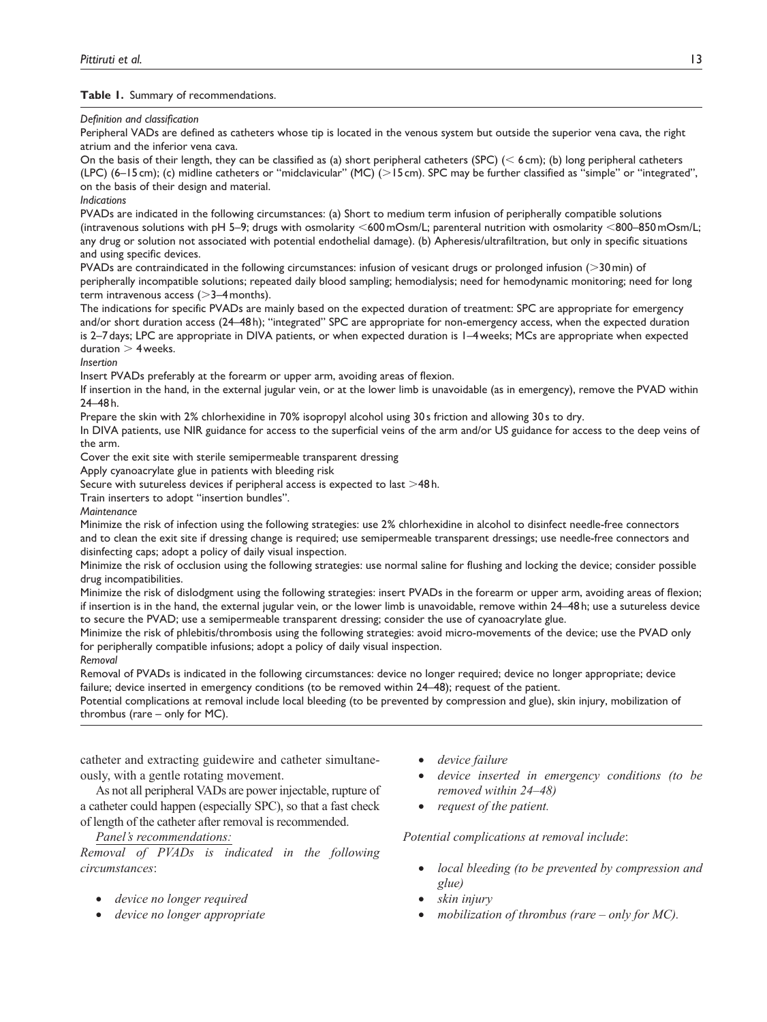## **Table 1.** Summary of recommendations.

#### *Definition and classification*

Peripheral VADs are defined as catheters whose tip is located in the venous system but outside the superior vena cava, the right atrium and the inferior vena cava.

On the basis of their length, they can be classified as (a) short peripheral catheters (SPC) ( $\leq 6$  cm); (b) long peripheral catheters (LPC) (6–15 cm); (c) midline catheters or "midclavicular" (MC) (>15cm). SPC may be further classified as "simple" or "integrated", on the basis of their design and material.

## *Indications*

PVADs are indicated in the following circumstances: (a) Short to medium term infusion of peripherally compatible solutions (intravenous solutions with pH 5–9; drugs with osmolarity <600mOsm/L; parenteral nutrition with osmolarity <800–850mOsm/L; any drug or solution not associated with potential endothelial damage). (b) Apheresis/ultrafiltration, but only in specific situations and using specific devices.

PVADs are contraindicated in the following circumstances: infusion of vesicant drugs or prolonged infusion (>30min) of peripherally incompatible solutions; repeated daily blood sampling; hemodialysis; need for hemodynamic monitoring; need for long term intravenous access  $(>=$ 3-4 months).

The indications for specific PVADs are mainly based on the expected duration of treatment: SPC are appropriate for emergency and/or short duration access (24–48h); "integrated" SPC are appropriate for non-emergency access, when the expected duration is 2–7days; LPC are appropriate in DIVA patients, or when expected duration is 1–4weeks; MCs are appropriate when expected duration  $>$  4 weeks.

*Insertion*

Insert PVADs preferably at the forearm or upper arm, avoiding areas of flexion.

If insertion in the hand, in the external jugular vein, or at the lower limb is unavoidable (as in emergency), remove the PVAD within 24–48 h.

Prepare the skin with 2% chlorhexidine in 70% isopropyl alcohol using 30s friction and allowing 30s to dry.

In DIVA patients, use NIR guidance for access to the superficial veins of the arm and/or US guidance for access to the deep veins of the arm.

Cover the exit site with sterile semipermeable transparent dressing

Apply cyanoacrylate glue in patients with bleeding risk

Secure with sutureless devices if peripheral access is expected to last >48h.

Train inserters to adopt "insertion bundles".

*Maintenance*

Minimize the risk of infection using the following strategies: use 2% chlorhexidine in alcohol to disinfect needle-free connectors and to clean the exit site if dressing change is required; use semipermeable transparent dressings; use needle-free connectors and disinfecting caps; adopt a policy of daily visual inspection.

Minimize the risk of occlusion using the following strategies: use normal saline for flushing and locking the device; consider possible drug incompatibilities.

Minimize the risk of dislodgment using the following strategies: insert PVADs in the forearm or upper arm, avoiding areas of flexion; if insertion is in the hand, the external jugular vein, or the lower limb is unavoidable, remove within 24–48h; use a sutureless device to secure the PVAD; use a semipermeable transparent dressing; consider the use of cyanoacrylate glue.

Minimize the risk of phlebitis/thrombosis using the following strategies: avoid micro-movements of the device; use the PVAD only for peripherally compatible infusions; adopt a policy of daily visual inspection.

*Removal*

Removal of PVADs is indicated in the following circumstances: device no longer required; device no longer appropriate; device failure; device inserted in emergency conditions (to be removed within 24–48); request of the patient.

Potential complications at removal include local bleeding (to be prevented by compression and glue), skin injury, mobilization of thrombus (rare – only for MC).

catheter and extracting guidewire and catheter simultaneously, with a gentle rotating movement.

As not all peripheral VADs are power injectable, rupture of a catheter could happen (especially SPC), so that a fast check of length of the catheter after removal is recommended.

## *Panel's recommendations:*

*Removal of PVADs is indicated in the following circumstances*:

- *device no longer required*
- *device no longer appropriate*
- *device failure*
- *device inserted in emergency conditions (to be removed within 24–48)*
- *request of the patient.*

*Potential complications at removal include*:

- *local bleeding (to be prevented by compression and glue)*
- *skin injury*
- *mobilization of thrombus (rare only for MC).*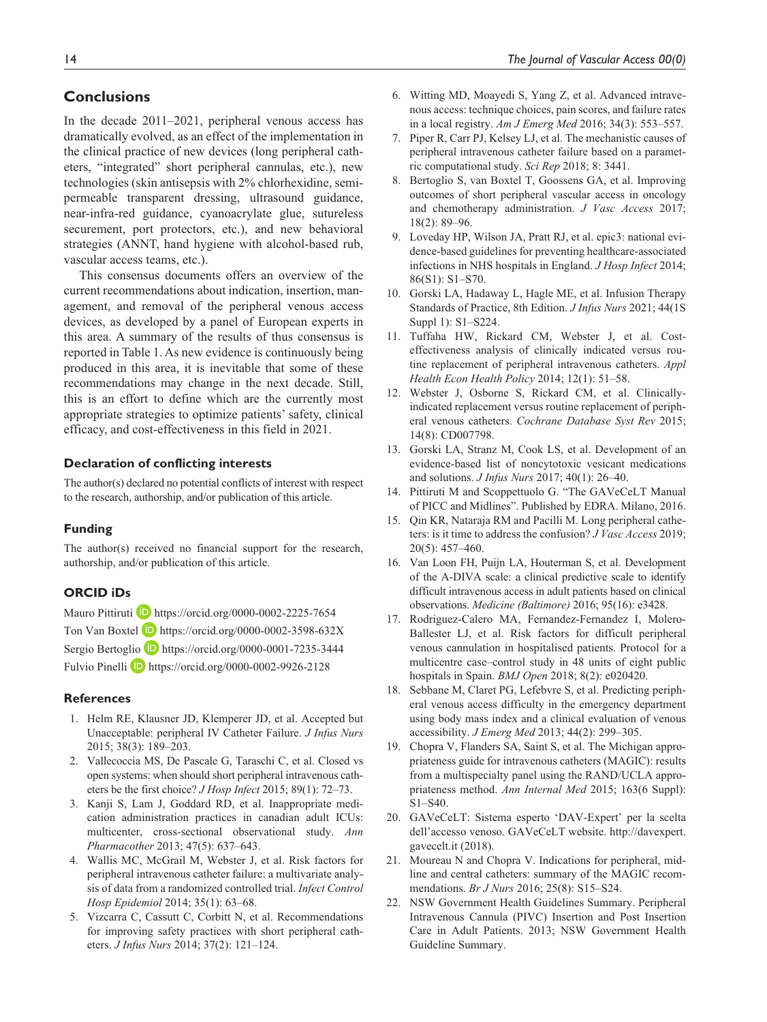# **Conclusions**

In the decade 2011–2021, peripheral venous access has dramatically evolved, as an effect of the implementation in the clinical practice of new devices (long peripheral catheters, "integrated" short peripheral cannulas, etc.), new technologies (skin antisepsis with 2% chlorhexidine, semipermeable transparent dressing, ultrasound guidance, near-infra-red guidance, cyanoacrylate glue, sutureless securement, port protectors, etc.), and new behavioral strategies (ANNT, hand hygiene with alcohol-based rub, vascular access teams, etc.).

This consensus documents offers an overview of the current recommendations about indication, insertion, management, and removal of the peripheral venous access devices, as developed by a panel of European experts in this area. A summary of the results of thus consensus is reported in Table 1. As new evidence is continuously being produced in this area, it is inevitable that some of these recommendations may change in the next decade. Still, this is an effort to define which are the currently most appropriate strategies to optimize patients' safety, clinical efficacy, and cost-effectiveness in this field in 2021.

#### **Declaration of conflicting interests**

The author(s) declared no potential conflicts of interest with respect to the research, authorship, and/or publication of this article.

### **Funding**

The author(s) received no financial support for the research, authorship, and/or publication of this article.

## **ORCID iDs**

Mauro Pittiruti **D** <https://orcid.org/0000-0002-2225-7654> Ton Van Boxtel D <https://orcid.org/0000-0002-3598-632X> Sergio Bertoglio <https://orcid.org/0000-0001-7235-3444> Fulvio Pinelli D <https://orcid.org/0000-0002-9926-2128>

#### **References**

- 1. Helm RE, Klausner JD, Klemperer JD, et al. Accepted but Unacceptable: peripheral IV Catheter Failure. *J Infus Nurs* 2015; 38(3): 189–203.
- 2. Vallecoccia MS, De Pascale G, Taraschi C, et al. Closed vs open systems: when should short peripheral intravenous catheters be the first choice? *J Hosp Infect* 2015; 89(1): 72–73.
- 3. Kanji S, Lam J, Goddard RD, et al. Inappropriate medication administration practices in canadian adult ICUs: multicenter, cross-sectional observational study. *Ann Pharmacother* 2013; 47(5): 637–643.
- 4. Wallis MC, McGrail M, Webster J, et al. Risk factors for peripheral intravenous catheter failure: a multivariate analysis of data from a randomized controlled trial. *Infect Control Hosp Epidemiol* 2014; 35(1): 63–68.
- 5. Vizcarra C, Cassutt C, Corbitt N, et al. Recommendations for improving safety practices with short peripheral catheters. *J Infus Nurs* 2014; 37(2): 121–124.
- 6. Witting MD, Moayedi S, Yang Z, et al. Advanced intravenous access: technique choices, pain scores, and failure rates in a local registry. *Am J Emerg Med* 2016; 34(3): 553–557.
- 7. Piper R, Carr PJ, Kelsey LJ, et al. The mechanistic causes of peripheral intravenous catheter failure based on a parametric computational study. *Sci Rep* 2018; 8: 3441.
- 8. Bertoglio S, van Boxtel T, Goossens GA, et al. Improving outcomes of short peripheral vascular access in oncology and chemotherapy administration. *J Vasc Access* 2017; 18(2): 89–96.
- 9. Loveday HP, Wilson JA, Pratt RJ, et al. epic3: national evidence-based guidelines for preventing healthcare-associated infections in NHS hospitals in England. *J Hosp Infect* 2014; 86(S1): S1–S70.
- 10. Gorski LA, Hadaway L, Hagle ME, et al. Infusion Therapy Standards of Practice, 8th Edition. *J Infus Nurs* 2021; 44(1S Suppl 1): S1–S224.
- 11. Tuffaha HW, Rickard CM, Webster J, et al. Costeffectiveness analysis of clinically indicated versus routine replacement of peripheral intravenous catheters. *Appl Health Econ Health Policy* 2014; 12(1): 51–58.
- 12. Webster J, Osborne S, Rickard CM, et al. Clinicallyindicated replacement versus routine replacement of peripheral venous catheters. *Cochrane Database Syst Rev* 2015; 14(8): CD007798.
- 13. Gorski LA, Stranz M, Cook LS, et al. Development of an evidence-based list of noncytotoxic vesicant medications and solutions. *J Infus Nurs* 2017; 40(1): 26–40.
- 14. Pittiruti M and Scoppettuolo G. "The GAVeCeLT Manual of PICC and Midlines". Published by EDRA. Milano, 2016.
- 15. Qin KR, Nataraja RM and Pacilli M. Long peripheral catheters: is it time to address the confusion? *J Vasc Access* 2019; 20(5): 457–460.
- 16. Van Loon FH, Puijn LA, Houterman S, et al. Development of the A-DIVA scale: a clinical predictive scale to identify difficult intravenous access in adult patients based on clinical observations. *Medicine (Baltimore)* 2016; 95(16): e3428.
- 17. Rodriguez-Calero MA, Fernandez-Fernandez I, Molero-Ballester LJ, et al. Risk factors for difficult peripheral venous cannulation in hospitalised patients. Protocol for a multicentre case–control study in 48 units of eight public hospitals in Spain. *BMJ Open* 2018; 8(2): e020420.
- 18. Sebbane M, Claret PG, Lefebvre S, et al. Predicting peripheral venous access difficulty in the emergency department using body mass index and a clinical evaluation of venous accessibility. *J Emerg Med* 2013; 44(2): 299–305.
- 19. Chopra V, Flanders SA, Saint S, et al. The Michigan appropriateness guide for intravenous catheters (MAGIC): results from a multispecialty panel using the RAND/UCLA appropriateness method. *Ann Internal Med* 2015; 163(6 Suppl): S1–S40.
- 20. GAVeCeLT: Sistema esperto 'DAV-Expert' per la scelta dell'accesso venoso. GAVeCeLT website. [http://davexpert.](http://davexpert.gavecelt.it) [gavecelt.it](http://davexpert.gavecelt.it) (2018).
- 21. Moureau N and Chopra V. Indications for peripheral, midline and central catheters: summary of the MAGIC recommendations. *Br J Nurs* 2016; 25(8): S15–S24.
- 22. NSW Government Health Guidelines Summary. Peripheral Intravenous Cannula (PIVC) Insertion and Post Insertion Care in Adult Patients. 2013; NSW Government Health Guideline Summary.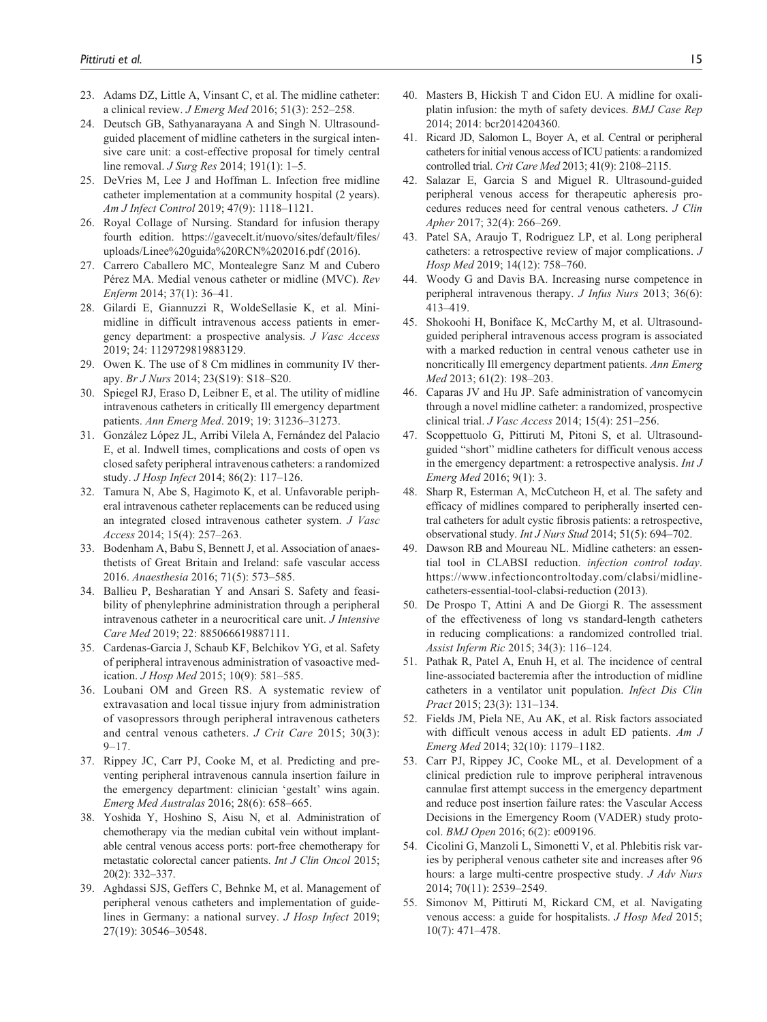- 23. Adams DZ, Little A, Vinsant C, et al. The midline catheter: a clinical review. *J Emerg Med* 2016; 51(3): 252–258.
- 24. Deutsch GB, Sathyanarayana A and Singh N. Ultrasoundguided placement of midline catheters in the surgical intensive care unit: a cost-effective proposal for timely central line removal. *J Surg Res* 2014; 191(1): 1–5.
- 25. DeVries M, Lee J and Hoffman L. Infection free midline catheter implementation at a community hospital (2 years). *Am J Infect Control* 2019; 47(9): 1118–1121.
- 26. Royal Collage of Nursing. Standard for infusion therapy fourth edition. [https://gavecelt.it/nuovo/sites/default/files/](https://gavecelt.it/nuovo/sites/default/files/uploads/Linee%20guida%20RCN%202016.pdf) [uploads/Linee%20guida%20RCN%202016.pdf](https://gavecelt.it/nuovo/sites/default/files/uploads/Linee%20guida%20RCN%202016.pdf) (2016).
- 27. Carrero Caballero MC, Montealegre Sanz M and Cubero Pérez MA. Medial venous catheter or midline (MVC). *Rev Enferm* 2014; 37(1): 36–41.
- 28. Gilardi E, Giannuzzi R, WoldeSellasie K, et al. Minimidline in difficult intravenous access patients in emergency department: a prospective analysis. *J Vasc Access* 2019; 24: 1129729819883129.
- 29. Owen K. The use of 8 Cm midlines in community IV therapy. *Br J Nurs* 2014; 23(S19): S18–S20.
- 30. Spiegel RJ, Eraso D, Leibner E, et al. The utility of midline intravenous catheters in critically Ill emergency department patients. *Ann Emerg Med*. 2019; 19: 31236–31273.
- 31. González López JL, Arribi Vilela A, Fernández del Palacio E, et al. Indwell times, complications and costs of open vs closed safety peripheral intravenous catheters: a randomized study. *J Hosp Infect* 2014; 86(2): 117–126.
- 32. Tamura N, Abe S, Hagimoto K, et al. Unfavorable peripheral intravenous catheter replacements can be reduced using an integrated closed intravenous catheter system. *J Vasc Access* 2014; 15(4): 257–263.
- 33. Bodenham A, Babu S, Bennett J, et al. Association of anaesthetists of Great Britain and Ireland: safe vascular access 2016. *Anaesthesia* 2016; 71(5): 573–585.
- 34. Ballieu P, Besharatian Y and Ansari S. Safety and feasibility of phenylephrine administration through a peripheral intravenous catheter in a neurocritical care unit. *J Intensive Care Med* 2019; 22: 885066619887111.
- 35. Cardenas-Garcia J, Schaub KF, Belchikov YG, et al. Safety of peripheral intravenous administration of vasoactive medication. *J Hosp Med* 2015; 10(9): 581–585.
- 36. Loubani OM and Green RS. A systematic review of extravasation and local tissue injury from administration of vasopressors through peripheral intravenous catheters and central venous catheters. *J Crit Care* 2015; 30(3):  $9 - 17$ .
- 37. Rippey JC, Carr PJ, Cooke M, et al. Predicting and preventing peripheral intravenous cannula insertion failure in the emergency department: clinician 'gestalt' wins again. *Emerg Med Australas* 2016; 28(6): 658–665.
- 38. Yoshida Y, Hoshino S, Aisu N, et al. Administration of chemotherapy via the median cubital vein without implantable central venous access ports: port-free chemotherapy for metastatic colorectal cancer patients. *Int J Clin Oncol* 2015; 20(2): 332–337.
- 39. Aghdassi SJS, Geffers C, Behnke M, et al. Management of peripheral venous catheters and implementation of guidelines in Germany: a national survey. *J Hosp Infect* 2019; 27(19): 30546–30548.
- 40. Masters B, Hickish T and Cidon EU. A midline for oxaliplatin infusion: the myth of safety devices. *BMJ Case Rep* 2014; 2014: bcr2014204360.
- 41. Ricard JD, Salomon L, Boyer A, et al. Central or peripheral catheters for initial venous access of ICU patients: a randomized controlled trial. *Crit Care Med* 2013; 41(9): 2108–2115.
- 42. Salazar E, Garcia S and Miguel R. Ultrasound-guided peripheral venous access for therapeutic apheresis procedures reduces need for central venous catheters. *J Clin Apher* 2017; 32(4): 266–269.
- 43. Patel SA, Araujo T, Rodriguez LP, et al. Long peripheral catheters: a retrospective review of major complications. *J Hosp Med* 2019; 14(12): 758–760.
- 44. Woody G and Davis BA. Increasing nurse competence in peripheral intravenous therapy. *J Infus Nurs* 2013; 36(6): 413–419.
- 45. Shokoohi H, Boniface K, McCarthy M, et al. Ultrasoundguided peripheral intravenous access program is associated with a marked reduction in central venous catheter use in noncritically Ill emergency department patients. *Ann Emerg Med* 2013; 61(2): 198–203.
- 46. Caparas JV and Hu JP. Safe administration of vancomycin through a novel midline catheter: a randomized, prospective clinical trial. *J Vasc Access* 2014; 15(4): 251–256.
- 47. Scoppettuolo G, Pittiruti M, Pitoni S, et al. Ultrasoundguided "short" midline catheters for difficult venous access in the emergency department: a retrospective analysis. *Int J Emerg Med* 2016; 9(1): 3.
- 48. Sharp R, Esterman A, McCutcheon H, et al. The safety and efficacy of midlines compared to peripherally inserted central catheters for adult cystic fibrosis patients: a retrospective, observational study. *Int J Nurs Stud* 2014; 51(5): 694–702.
- 49. Dawson RB and Moureau NL. Midline catheters: an essential tool in CLABSI reduction. *infection control today*. [https://www.infectioncontroltoday.com/clabsi/midline](https://www.infectioncontroltoday.com/clabsi/midline-catheters-essential-tool-clabsi-reduction)[catheters-essential-tool-clabsi-reduction](https://www.infectioncontroltoday.com/clabsi/midline-catheters-essential-tool-clabsi-reduction) (2013).
- 50. De Prospo T, Attini A and De Giorgi R. The assessment of the effectiveness of long vs standard-length catheters in reducing complications: a randomized controlled trial. *Assist Inferm Ric* 2015; 34(3): 116–124.
- 51. Pathak R, Patel A, Enuh H, et al. The incidence of central line-associated bacteremia after the introduction of midline catheters in a ventilator unit population. *Infect Dis Clin Pract* 2015; 23(3): 131–134.
- 52. Fields JM, Piela NE, Au AK, et al. Risk factors associated with difficult venous access in adult ED patients. *Am J Emerg Med* 2014; 32(10): 1179–1182.
- 53. Carr PJ, Rippey JC, Cooke ML, et al. Development of a clinical prediction rule to improve peripheral intravenous cannulae first attempt success in the emergency department and reduce post insertion failure rates: the Vascular Access Decisions in the Emergency Room (VADER) study protocol. *BMJ Open* 2016; 6(2): e009196.
- 54. Cicolini G, Manzoli L, Simonetti V, et al. Phlebitis risk varies by peripheral venous catheter site and increases after 96 hours: a large multi-centre prospective study. *J Adv Nurs* 2014; 70(11): 2539–2549.
- 55. Simonov M, Pittiruti M, Rickard CM, et al. Navigating venous access: a guide for hospitalists. *J Hosp Med* 2015; 10(7): 471–478.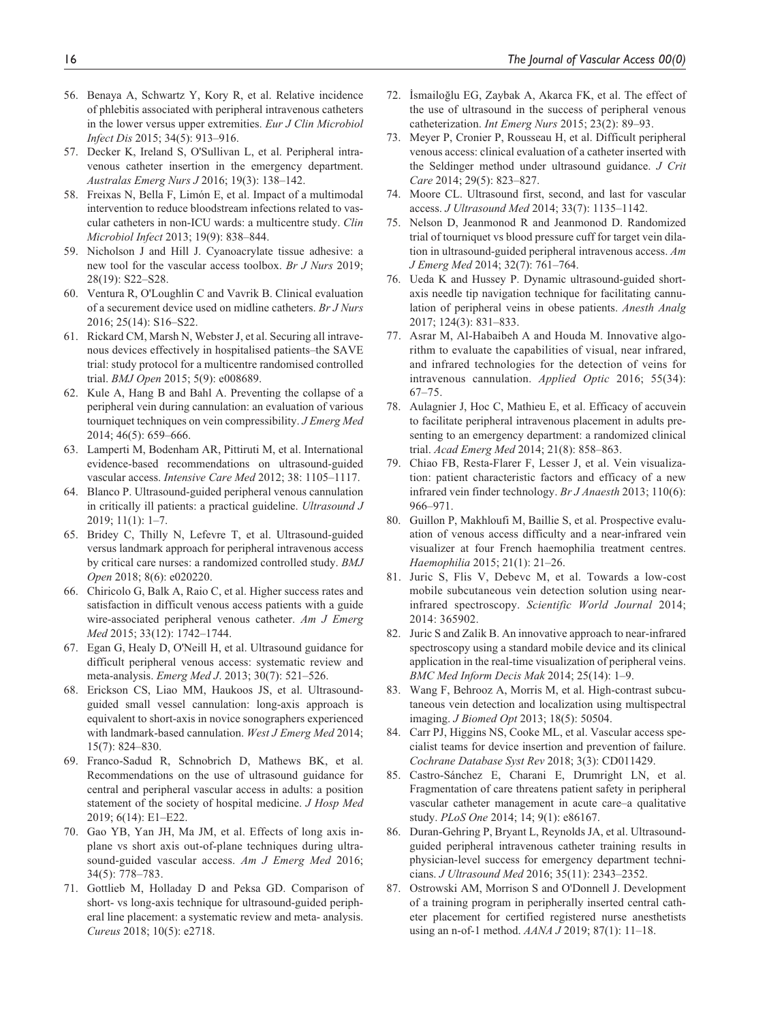- 56. Benaya A, Schwartz Y, Kory R, et al. Relative incidence of phlebitis associated with peripheral intravenous catheters in the lower versus upper extremities. *Eur J Clin Microbiol Infect Dis* 2015; 34(5): 913–916.
- 57. Decker K, Ireland S, O'Sullivan L, et al. Peripheral intravenous catheter insertion in the emergency department. *Australas Emerg Nurs J* 2016; 19(3): 138–142.
- 58. Freixas N, Bella F, Limón E, et al. Impact of a multimodal intervention to reduce bloodstream infections related to vascular catheters in non-ICU wards: a multicentre study. *Clin Microbiol Infect* 2013; 19(9): 838–844.
- 59. Nicholson J and Hill J. Cyanoacrylate tissue adhesive: a new tool for the vascular access toolbox. *Br J Nurs* 2019; 28(19): S22–S28.
- 60. Ventura R, O'Loughlin C and Vavrik B. Clinical evaluation of a securement device used on midline catheters. *Br J Nurs* 2016; 25(14): S16–S22.
- 61. Rickard CM, Marsh N, Webster J, et al. Securing all intravenous devices effectively in hospitalised patients–the SAVE trial: study protocol for a multicentre randomised controlled trial. *BMJ Open* 2015; 5(9): e008689.
- 62. Kule A, Hang B and Bahl A. Preventing the collapse of a peripheral vein during cannulation: an evaluation of various tourniquet techniques on vein compressibility. *J Emerg Med* 2014; 46(5): 659–666.
- 63. Lamperti M, Bodenham AR, Pittiruti M, et al. International evidence-based recommendations on ultrasound-guided vascular access. *Intensive Care Med* 2012; 38: 1105–1117.
- 64. Blanco P. Ultrasound-guided peripheral venous cannulation in critically ill patients: a practical guideline. *Ultrasound J* 2019; 11(1): 1–7.
- 65. Bridey C, Thilly N, Lefevre T, et al. Ultrasound-guided versus landmark approach for peripheral intravenous access by critical care nurses: a randomized controlled study. *BMJ Open* 2018; 8(6): e020220.
- 66. Chiricolo G, Balk A, Raio C, et al. Higher success rates and satisfaction in difficult venous access patients with a guide wire-associated peripheral venous catheter. *Am J Emerg Med* 2015; 33(12): 1742–1744.
- 67. Egan G, Healy D, O'Neill H, et al. Ultrasound guidance for difficult peripheral venous access: systematic review and meta-analysis. *Emerg Med J*. 2013; 30(7): 521–526.
- 68. Erickson CS, Liao MM, Haukoos JS, et al. Ultrasoundguided small vessel cannulation: long-axis approach is equivalent to short-axis in novice sonographers experienced with landmark-based cannulation. *West J Emerg Med* 2014; 15(7): 824–830.
- 69. Franco-Sadud R, Schnobrich D, Mathews BK, et al. Recommendations on the use of ultrasound guidance for central and peripheral vascular access in adults: a position statement of the society of hospital medicine. *J Hosp Med* 2019; 6(14): E1–E22.
- 70. Gao YB, Yan JH, Ma JM, et al. Effects of long axis inplane vs short axis out-of-plane techniques during ultrasound-guided vascular access. *Am J Emerg Med* 2016; 34(5): 778–783.
- 71. Gottlieb M, Holladay D and Peksa GD. Comparison of short- vs long-axis technique for ultrasound-guided peripheral line placement: a systematic review and meta- analysis. *Cureus* 2018; 10(5): e2718.
- 72. İsmailoğlu EG, Zaybak A, Akarca FK, et al. The effect of the use of ultrasound in the success of peripheral venous catheterization. *Int Emerg Nurs* 2015; 23(2): 89–93.
- 73. Meyer P, Cronier P, Rousseau H, et al. Difficult peripheral venous access: clinical evaluation of a catheter inserted with the Seldinger method under ultrasound guidance. *J Crit Care* 2014; 29(5): 823–827.
- 74. Moore CL. Ultrasound first, second, and last for vascular access. *J Ultrasound Med* 2014; 33(7): 1135–1142.
- 75. Nelson D, Jeanmonod R and Jeanmonod D. Randomized trial of tourniquet vs blood pressure cuff for target vein dilation in ultrasound-guided peripheral intravenous access. *Am J Emerg Med* 2014; 32(7): 761–764.
- 76. Ueda K and Hussey P. Dynamic ultrasound-guided shortaxis needle tip navigation technique for facilitating cannulation of peripheral veins in obese patients. *Anesth Analg* 2017; 124(3): 831–833.
- 77. Asrar M, Al-Habaibeh A and Houda M. Innovative algorithm to evaluate the capabilities of visual, near infrared, and infrared technologies for the detection of veins for intravenous cannulation. *Applied Optic* 2016; 55(34): 67–75.
- 78. Aulagnier J, Hoc C, Mathieu E, et al. Efficacy of accuvein to facilitate peripheral intravenous placement in adults presenting to an emergency department: a randomized clinical trial. *Acad Emerg Med* 2014; 21(8): 858–863.
- 79. Chiao FB, Resta-Flarer F, Lesser J, et al. Vein visualization: patient characteristic factors and efficacy of a new infrared vein finder technology. *Br J Anaesth* 2013; 110(6): 966–971.
- 80. Guillon P, Makhloufi M, Baillie S, et al. Prospective evaluation of venous access difficulty and a near-infrared vein visualizer at four French haemophilia treatment centres. *Haemophilia* 2015; 21(1): 21–26.
- 81. Juric S, Flis V, Debevc M, et al. Towards a low-cost mobile subcutaneous vein detection solution using nearinfrared spectroscopy. *Scientific World Journal* 2014; 2014: 365902.
- 82. Juric S and Zalik B. An innovative approach to near-infrared spectroscopy using a standard mobile device and its clinical application in the real-time visualization of peripheral veins. *BMC Med Inform Decis Mak* 2014; 25(14): 1–9.
- 83. Wang F, Behrooz A, Morris M, et al. High-contrast subcutaneous vein detection and localization using multispectral imaging. *J Biomed Opt* 2013; 18(5): 50504.
- 84. Carr PJ, Higgins NS, Cooke ML, et al. Vascular access specialist teams for device insertion and prevention of failure. *Cochrane Database Syst Rev* 2018; 3(3): CD011429.
- 85. Castro-Sánchez E, Charani E, Drumright LN, et al. Fragmentation of care threatens patient safety in peripheral vascular catheter management in acute care–a qualitative study. *PLoS One* 2014; 14; 9(1): e86167.
- 86. Duran-Gehring P, Bryant L, Reynolds JA, et al. Ultrasoundguided peripheral intravenous catheter training results in physician-level success for emergency department technicians. *J Ultrasound Med* 2016; 35(11): 2343–2352.
- 87. Ostrowski AM, Morrison S and O'Donnell J. Development of a training program in peripherally inserted central catheter placement for certified registered nurse anesthetists using an n-of-1 method. *AANA J* 2019; 87(1): 11–18.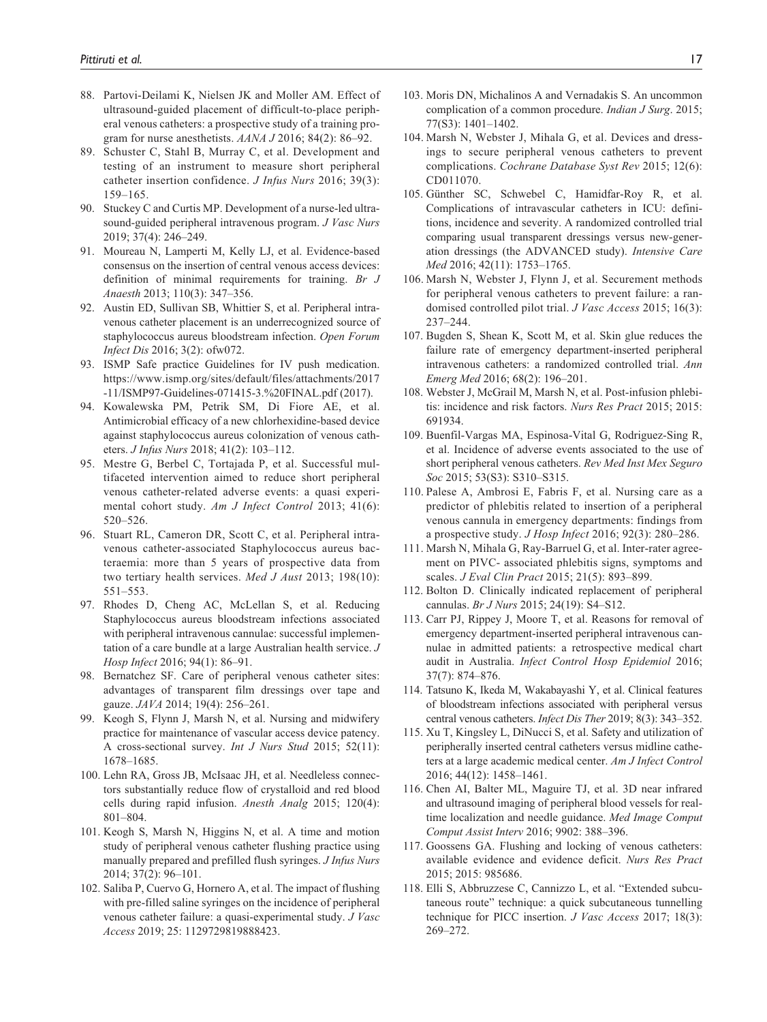- 88. Partovi-Deilami K, Nielsen JK and Moller AM. Effect of ultrasound-guided placement of difficult-to-place peripheral venous catheters: a prospective study of a training program for nurse anesthetists. *AANA J* 2016; 84(2): 86–92.
- 89. Schuster C, Stahl B, Murray C, et al. Development and testing of an instrument to measure short peripheral catheter insertion confidence. *J Infus Nurs* 2016; 39(3): 159–165.
- 90. Stuckey C and Curtis MP. Development of a nurse-led ultrasound-guided peripheral intravenous program. *J Vasc Nurs* 2019; 37(4): 246–249.
- 91. Moureau N, Lamperti M, Kelly LJ, et al. Evidence-based consensus on the insertion of central venous access devices: definition of minimal requirements for training. *Br J Anaesth* 2013; 110(3): 347–356.
- 92. Austin ED, Sullivan SB, Whittier S, et al. Peripheral intravenous catheter placement is an underrecognized source of staphylococcus aureus bloodstream infection. *Open Forum Infect Dis* 2016; 3(2): ofw072.
- 93. ISMP Safe practice Guidelines for IV push medication. [https://www.ismp.org/sites/default/files/attachments/2017](https://www.ismp.org/sites/default/files/attachments/2017-11/ISMP97-Guidelines-071415-3.%20FINAL.pdf) [-11/ISMP97-Guidelines-071415-3.%20FINAL.pdf](https://www.ismp.org/sites/default/files/attachments/2017-11/ISMP97-Guidelines-071415-3.%20FINAL.pdf) (2017).
- 94. Kowalewska PM, Petrik SM, Di Fiore AE, et al. Antimicrobial efficacy of a new chlorhexidine-based device against staphylococcus aureus colonization of venous catheters. *J Infus Nurs* 2018; 41(2): 103–112.
- 95. Mestre G, Berbel C, Tortajada P, et al. Successful multifaceted intervention aimed to reduce short peripheral venous catheter-related adverse events: a quasi experimental cohort study. *Am J Infect Control* 2013; 41(6): 520–526.
- 96. Stuart RL, Cameron DR, Scott C, et al. Peripheral intravenous catheter-associated Staphylococcus aureus bacteraemia: more than 5 years of prospective data from two tertiary health services. *Med J Aust* 2013; 198(10): 551–553.
- 97. Rhodes D, Cheng AC, McLellan S, et al. Reducing Staphylococcus aureus bloodstream infections associated with peripheral intravenous cannulae: successful implementation of a care bundle at a large Australian health service. *J Hosp Infect* 2016; 94(1): 86–91.
- 98. Bernatchez SF. Care of peripheral venous catheter sites: advantages of transparent film dressings over tape and gauze. *JAVA* 2014; 19(4): 256–261.
- 99. Keogh S, Flynn J, Marsh N, et al. Nursing and midwifery practice for maintenance of vascular access device patency. A cross-sectional survey. *Int J Nurs Stud* 2015; 52(11): 1678–1685.
- 100. Lehn RA, Gross JB, McIsaac JH, et al. Needleless connectors substantially reduce flow of crystalloid and red blood cells during rapid infusion. *Anesth Analg* 2015; 120(4): 801–804.
- 101. Keogh S, Marsh N, Higgins N, et al. A time and motion study of peripheral venous catheter flushing practice using manually prepared and prefilled flush syringes. *J Infus Nurs* 2014; 37(2): 96–101.
- 102. Saliba P, Cuervo G, Hornero A, et al. The impact of flushing with pre-filled saline syringes on the incidence of peripheral venous catheter failure: a quasi-experimental study. *J Vasc Access* 2019; 25: 1129729819888423.
- 103. Moris DN, Michalinos A and Vernadakis S. An uncommon complication of a common procedure. *Indian J Surg*. 2015; 77(S3): 1401–1402.
- 104. Marsh N, Webster J, Mihala G, et al. Devices and dressings to secure peripheral venous catheters to prevent complications. *Cochrane Database Syst Rev* 2015; 12(6): CD011070.
- 105. Günther SC, Schwebel C, Hamidfar-Roy R, et al. Complications of intravascular catheters in ICU: definitions, incidence and severity. A randomized controlled trial comparing usual transparent dressings versus new-generation dressings (the ADVANCED study). *Intensive Care Med* 2016; 42(11): 1753–1765.
- 106. Marsh N, Webster J, Flynn J, et al. Securement methods for peripheral venous catheters to prevent failure: a randomised controlled pilot trial. *J Vasc Access* 2015; 16(3): 237–244.
- 107. Bugden S, Shean K, Scott M, et al. Skin glue reduces the failure rate of emergency department-inserted peripheral intravenous catheters: a randomized controlled trial. *Ann Emerg Med* 2016; 68(2): 196–201.
- 108. Webster J, McGrail M, Marsh N, et al. Post-infusion phlebitis: incidence and risk factors. *Nurs Res Pract* 2015; 2015: 691934.
- 109. Buenfil-Vargas MA, Espinosa-Vital G, Rodriguez-Sing R, et al. Incidence of adverse events associated to the use of short peripheral venous catheters. *Rev Med Inst Mex Seguro Soc* 2015; 53(S3): S310–S315.
- 110. Palese A, Ambrosi E, Fabris F, et al. Nursing care as a predictor of phlebitis related to insertion of a peripheral venous cannula in emergency departments: findings from a prospective study. *J Hosp Infect* 2016; 92(3): 280–286.
- 111. Marsh N, Mihala G, Ray-Barruel G, et al. Inter-rater agreement on PIVC- associated phlebitis signs, symptoms and scales. *J Eval Clin Pract* 2015; 21(5): 893–899.
- 112. Bolton D. Clinically indicated replacement of peripheral cannulas. *Br J Nurs* 2015; 24(19): S4–S12.
- 113. Carr PJ, Rippey J, Moore T, et al. Reasons for removal of emergency department-inserted peripheral intravenous cannulae in admitted patients: a retrospective medical chart audit in Australia. *Infect Control Hosp Epidemiol* 2016; 37(7): 874–876.
- 114. Tatsuno K, Ikeda M, Wakabayashi Y, et al. Clinical features of bloodstream infections associated with peripheral versus central venous catheters. *Infect Dis Ther* 2019; 8(3): 343–352.
- 115. Xu T, Kingsley L, DiNucci S, et al. Safety and utilization of peripherally inserted central catheters versus midline catheters at a large academic medical center. *Am J Infect Control* 2016; 44(12): 1458–1461.
- 116. Chen AI, Balter ML, Maguire TJ, et al. 3D near infrared and ultrasound imaging of peripheral blood vessels for realtime localization and needle guidance. *Med Image Comput Comput Assist Interv* 2016; 9902: 388–396.
- 117. Goossens GA. Flushing and locking of venous catheters: available evidence and evidence deficit. *Nurs Res Pract* 2015; 2015: 985686.
- 118. Elli S, Abbruzzese C, Cannizzo L, et al. "Extended subcutaneous route" technique: a quick subcutaneous tunnelling technique for PICC insertion. *J Vasc Access* 2017; 18(3): 269–272.